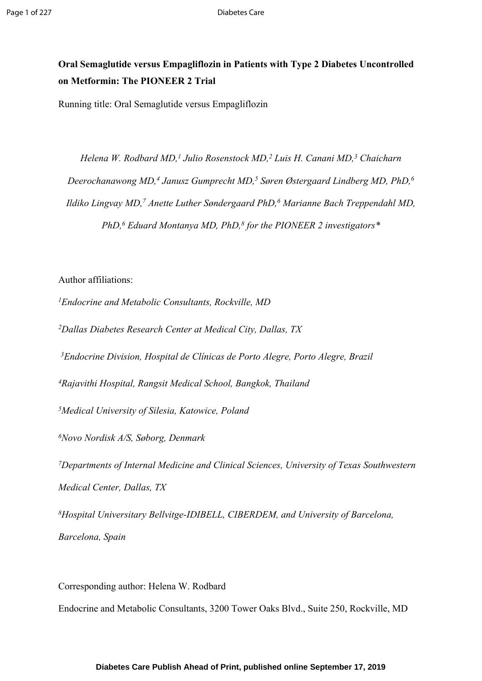# **Oral Semaglutide versus Empagliflozin in Patients with Type 2 Diabetes Uncontrolled on Metformin: The PIONEER 2 Trial**

Running title: Oral Semaglutide versus Empagliflozin

*Helena W. Rodbard MD,<sup>1</sup> Julio Rosenstock MD,<sup>2</sup> Luis H. Canani MD,<sup>3</sup> Chaicharn Deerochanawong MD,<sup>4</sup> Janusz Gumprecht MD,<sup>5</sup> Søren Østergaard Lindberg MD, PhD,<sup>6</sup> Ildiko Lingvay MD,<sup>7</sup> Anette Luther Søndergaard PhD,<sup>6</sup> Marianne Bach Treppendahl MD, PhD,<sup>6</sup> Eduard Montanya MD, PhD,<sup>8</sup> for the PIONEER 2 investigators\**

Author affiliations:

*<sup>1</sup>Endocrine and Metabolic Consultants, Rockville, MD*

*<sup>2</sup>Dallas Diabetes Research Center at Medical City, Dallas, TX*

*<sup>3</sup>Endocrine Division, Hospital de Clínicas de Porto Alegre, Porto Alegre, Brazil*

*<sup>4</sup>Rajavithi Hospital, Rangsit Medical School, Bangkok, Thailand*

*<sup>5</sup>Medical University of Silesia, Katowice, Poland*

*<sup>6</sup>Novo Nordisk A/S, Søborg, Denmark*

*<sup>7</sup>Departments of Internal Medicine and Clinical Sciences, University of Texas Southwestern Medical Center, Dallas, TX*

*<sup>8</sup>Hospital Universitary Bellvitge-IDIBELL, CIBERDEM, and University of Barcelona, Barcelona, Spain*

Corresponding author: Helena W. Rodbard Endocrine and Metabolic Consultants, 3200 Tower Oaks Blvd., Suite 250, Rockville, MD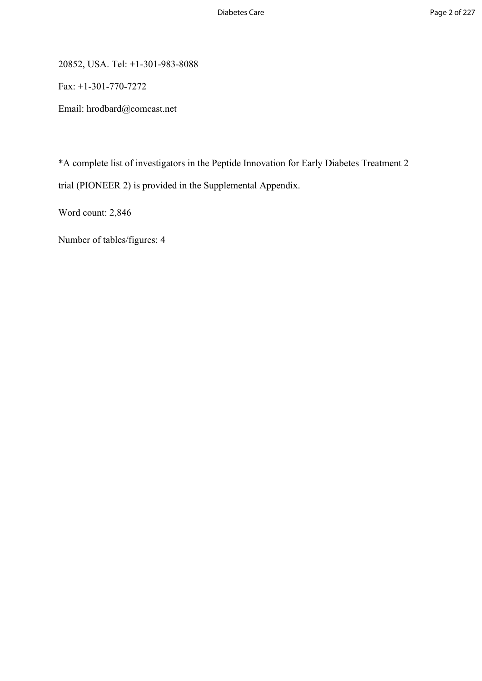20852, USA. Tel: +1-301-983-8088

Fax: +1-301-770-7272

Email: hrodbard@comcast.net

\*A complete list of investigators in the Peptide Innovation for Early Diabetes Treatment 2 trial (PIONEER 2) is provided in the Supplemental Appendix.

Word count: 2,846

Number of tables/figures: 4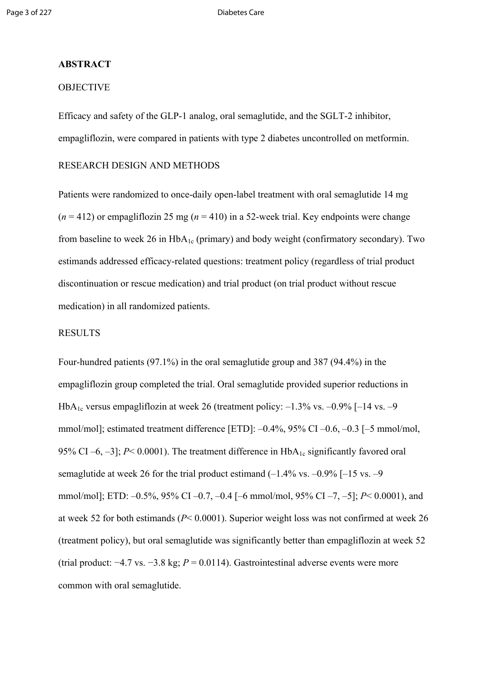### **ABSTRACT**

### **OBJECTIVE**

Efficacy and safety of the GLP-1 analog, oral semaglutide, and the SGLT-2 inhibitor, empagliflozin, were compared in patients with type 2 diabetes uncontrolled on metformin.

### RESEARCH DESIGN AND METHODS

Patients were randomized to once-daily open-label treatment with oral semaglutide 14 mg  $(n = 412)$  or empagliflozin 25 mg  $(n = 410)$  in a 52-week trial. Key endpoints were change from baseline to week 26 in  $HbA_{1c}$  (primary) and body weight (confirmatory secondary). Two estimands addressed efficacy-related questions: treatment policy (regardless of trial product discontinuation or rescue medication) and trial product (on trial product without rescue medication) in all randomized patients.

### RESULTS

Four-hundred patients (97.1%) in the oral semaglutide group and 387 (94.4%) in the empagliflozin group completed the trial. Oral semaglutide provided superior reductions in HbA<sub>1c</sub> versus empagliflozin at week 26 (treatment policy:  $-1.3\%$  vs.  $-0.9\%$  [-14 vs.  $-9$ mmol/mol]; estimated treatment difference [ETD]: –0.4%, 95% CI –0.6, –0.3 [–5 mmol/mol, 95% CI –6, –3];  $P < 0.0001$ ). The treatment difference in  $HbA_{1c}$  significantly favored oral semaglutide at week 26 for the trial product estimand  $(-1.4\% \text{ vs. } -0.9\% \text{ [-15 vs. } -9.9\% \text{ ]})$ mmol/mol]; ETD: –0.5%, 95% CI –0.7, –0.4 [–6 mmol/mol, 95% CI –7, –5]; *P*< 0.0001), and at week 52 for both estimands (*P*< 0.0001). Superior weight loss was not confirmed at week 26 (treatment policy), but oral semaglutide was significantly better than empagliflozin at week 52 (trial product: −4.7 vs. −3.8 kg; *P* = 0.0114). Gastrointestinal adverse events were more common with oral semaglutide.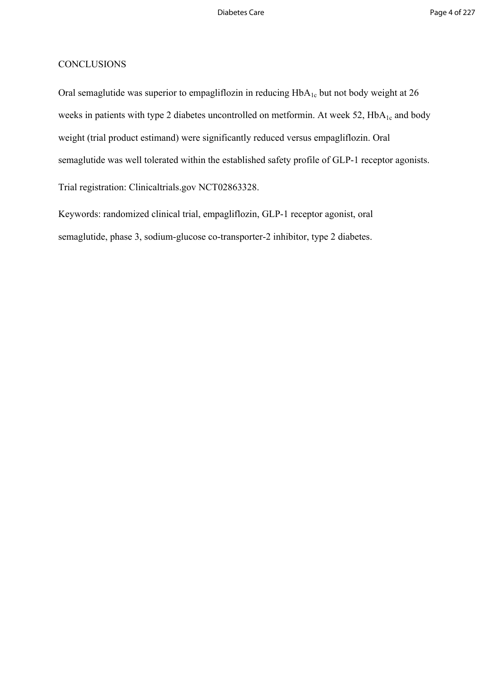### **CONCLUSIONS**

Oral semaglutide was superior to empagliflozin in reducing  $HbA_{1c}$  but not body weight at 26 weeks in patients with type 2 diabetes uncontrolled on metformin. At week 52, HbA<sub>1c</sub> and body weight (trial product estimand) were significantly reduced versus empagliflozin. Oral semaglutide was well tolerated within the established safety profile of GLP-1 receptor agonists.

Trial registration: Clinicaltrials.gov NCT02863328.

Keywords: randomized clinical trial, empagliflozin, GLP-1 receptor agonist, oral semaglutide, phase 3, sodium-glucose co-transporter-2 inhibitor, type 2 diabetes.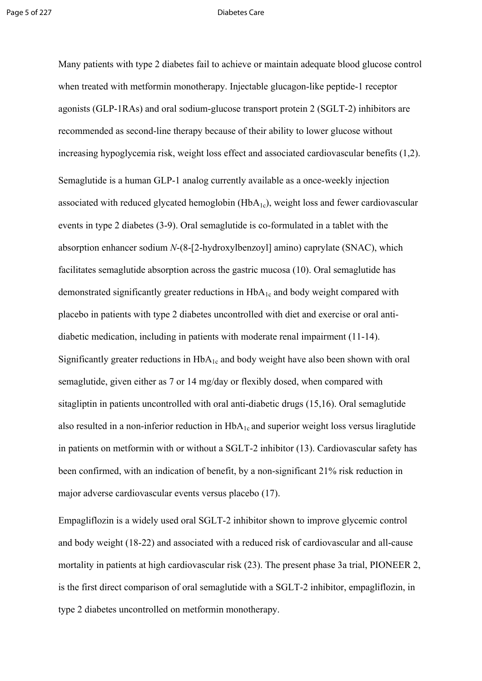Many patients with type 2 diabetes fail to achieve or maintain adequate blood glucose control when treated with metformin monotherapy. Injectable glucagon-like peptide-1 receptor agonists (GLP-1RAs) and oral sodium-glucose transport protein 2 (SGLT-2) inhibitors are recommended as second-line therapy because of their ability to lower glucose without increasing hypoglycemia risk, weight loss effect and associated cardiovascular benefits (1,2). Semaglutide is a human GLP-1 analog currently available as a once-weekly injection associated with reduced glycated hemoglobin  $(HbA<sub>1c</sub>)$ , weight loss and fewer cardiovascular events in type 2 diabetes (3-9). Oral semaglutide is co-formulated in a tablet with the absorption enhancer sodium *N*-(8-[2-hydroxylbenzoyl] amino) caprylate (SNAC), which facilitates semaglutide absorption across the gastric mucosa (10). Oral semaglutide has demonstrated significantly greater reductions in  $HbA_{1c}$  and body weight compared with placebo in patients with type 2 diabetes uncontrolled with diet and exercise or oral antidiabetic medication, including in patients with moderate renal impairment (11-14). Significantly greater reductions in  $HbA_{1c}$  and body weight have also been shown with oral semaglutide, given either as 7 or 14 mg/day or flexibly dosed, when compared with sitagliptin in patients uncontrolled with oral anti-diabetic drugs (15,16). Oral semaglutide also resulted in a non-inferior reduction in  $HbA_{1c}$  and superior weight loss versus liraglutide in patients on metformin with or without a SGLT-2 inhibitor (13). Cardiovascular safety has been confirmed, with an indication of benefit, by a non-significant 21% risk reduction in major adverse cardiovascular events versus placebo (17).

Empagliflozin is a widely used oral SGLT-2 inhibitor shown to improve glycemic control and body weight (18-22) and associated with a reduced risk of cardiovascular and all-cause mortality in patients at high cardiovascular risk (23). The present phase 3a trial, PIONEER 2, is the first direct comparison of oral semaglutide with a SGLT-2 inhibitor, empagliflozin, in type 2 diabetes uncontrolled on metformin monotherapy.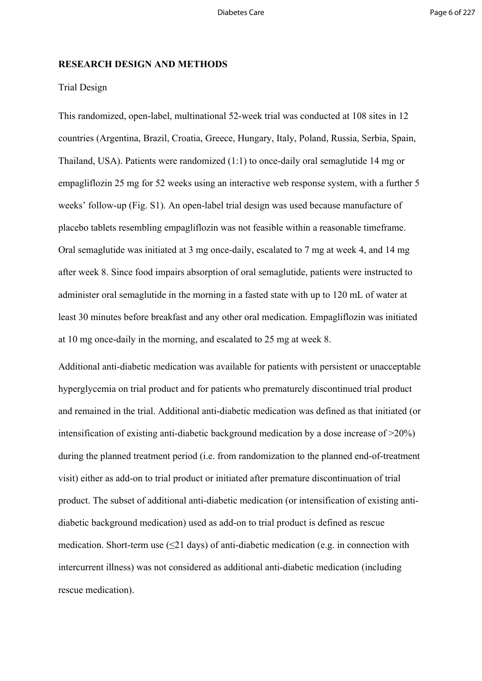### **RESEARCH DESIGN AND METHODS**

### Trial Design

This randomized, open-label, multinational 52-week trial was conducted at 108 sites in 12 countries (Argentina, Brazil, Croatia, Greece, Hungary, Italy, Poland, Russia, Serbia, Spain, Thailand, USA). Patients were randomized (1:1) to once-daily oral semaglutide 14 mg or empagliflozin 25 mg for 52 weeks using an interactive web response system, with a further 5 weeks' follow-up (Fig. S1). An open-label trial design was used because manufacture of placebo tablets resembling empagliflozin was not feasible within a reasonable timeframe. Oral semaglutide was initiated at 3 mg once-daily, escalated to 7 mg at week 4, and 14 mg after week 8. Since food impairs absorption of oral semaglutide, patients were instructed to administer oral semaglutide in the morning in a fasted state with up to 120 mL of water at least 30 minutes before breakfast and any other oral medication. Empagliflozin was initiated at 10 mg once-daily in the morning, and escalated to 25 mg at week 8.

Additional anti-diabetic medication was available for patients with persistent or unacceptable hyperglycemia on trial product and for patients who prematurely discontinued trial product and remained in the trial. Additional anti-diabetic medication was defined as that initiated (or intensification of existing anti-diabetic background medication by a dose increase of >20%) during the planned treatment period (i.e. from randomization to the planned end-of-treatment visit) either as add-on to trial product or initiated after premature discontinuation of trial product. The subset of additional anti-diabetic medication (or intensification of existing antidiabetic background medication) used as add-on to trial product is defined as rescue medication. Short-term use  $(\leq 21 \text{ days})$  of anti-diabetic medication (e.g. in connection with intercurrent illness) was not considered as additional anti-diabetic medication (including rescue medication).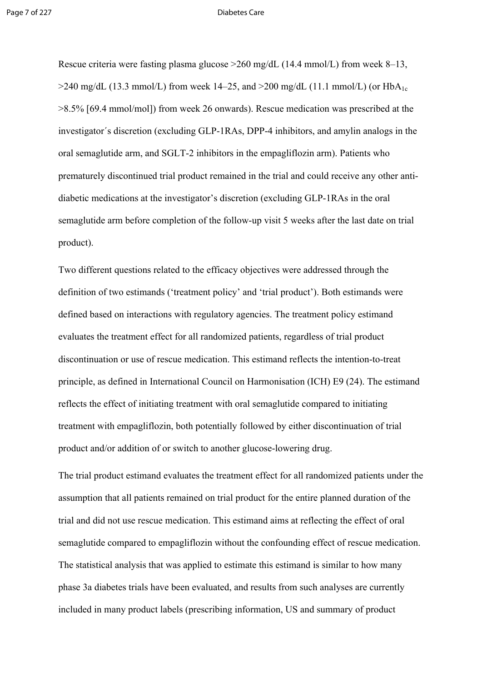Rescue criteria were fasting plasma glucose >260 mg/dL (14.4 mmol/L) from week 8–13,  $>$ 240 mg/dL (13.3 mmol/L) from week 14–25, and  $>$ 200 mg/dL (11.1 mmol/L) (or HbA<sub>1c</sub> >8.5% [69.4 mmol/mol]) from week 26 onwards). Rescue medication was prescribed at the investigator´s discretion (excluding GLP-1RAs, DPP-4 inhibitors, and amylin analogs in the oral semaglutide arm, and SGLT-2 inhibitors in the empagliflozin arm). Patients who prematurely discontinued trial product remained in the trial and could receive any other antidiabetic medications at the investigator's discretion (excluding GLP-1RAs in the oral semaglutide arm before completion of the follow-up visit 5 weeks after the last date on trial product).

Two different questions related to the efficacy objectives were addressed through the definition of two estimands ('treatment policy' and 'trial product'). Both estimands were defined based on interactions with regulatory agencies. The treatment policy estimand evaluates the treatment effect for all randomized patients, regardless of trial product discontinuation or use of rescue medication. This estimand reflects the intention-to-treat principle, as defined in International Council on Harmonisation (ICH) E9 (24). The estimand reflects the effect of initiating treatment with oral semaglutide compared to initiating treatment with empagliflozin, both potentially followed by either discontinuation of trial product and/or addition of or switch to another glucose-lowering drug.

The trial product estimand evaluates the treatment effect for all randomized patients under the assumption that all patients remained on trial product for the entire planned duration of the trial and did not use rescue medication. This estimand aims at reflecting the effect of oral semaglutide compared to empagliflozin without the confounding effect of rescue medication. The statistical analysis that was applied to estimate this estimand is similar to how many phase 3a diabetes trials have been evaluated, and results from such analyses are currently included in many product labels (prescribing information, US and summary of product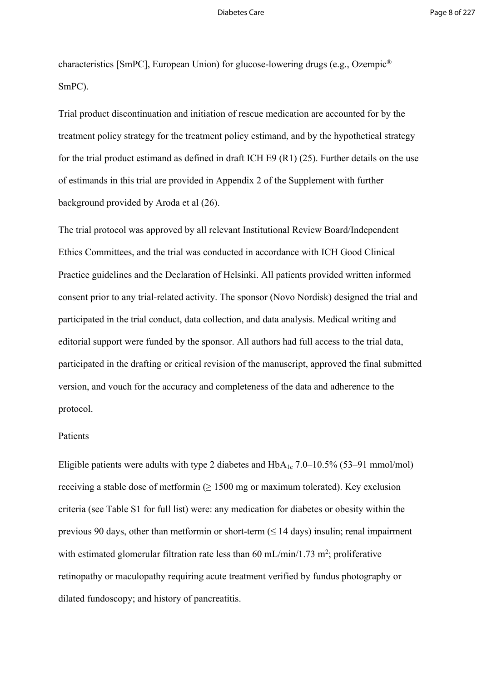characteristics [SmPC], European Union) for glucose-lowering drugs (e.g., Ozempic® SmPC).

Trial product discontinuation and initiation of rescue medication are accounted for by the treatment policy strategy for the treatment policy estimand, and by the hypothetical strategy for the trial product estimand as defined in draft ICH E9 (R1) (25). Further details on the use of estimands in this trial are provided in Appendix 2 of the Supplement with further background provided by Aroda et al (26).

The trial protocol was approved by all relevant Institutional Review Board/Independent Ethics Committees, and the trial was conducted in accordance with ICH Good Clinical Practice guidelines and the Declaration of Helsinki. All patients provided written informed consent prior to any trial-related activity. The sponsor (Novo Nordisk) designed the trial and participated in the trial conduct, data collection, and data analysis. Medical writing and editorial support were funded by the sponsor. All authors had full access to the trial data, participated in the drafting or critical revision of the manuscript, approved the final submitted version, and vouch for the accuracy and completeness of the data and adherence to the protocol.

### Patients

Eligible patients were adults with type 2 diabetes and  $HbA_{1c}$  7.0–10.5% (53–91 mmol/mol) receiving a stable dose of metformin ( $\geq 1500$  mg or maximum tolerated). Key exclusion criteria (see Table S1 for full list) were: any medication for diabetes or obesity within the previous 90 days, other than metformin or short-term  $( \leq 14 \text{ days})$  insulin; renal impairment with estimated glomerular filtration rate less than  $60 \text{ mL/min}/1.73 \text{ m}^2$ ; proliferative retinopathy or maculopathy requiring acute treatment verified by fundus photography or dilated fundoscopy; and history of pancreatitis.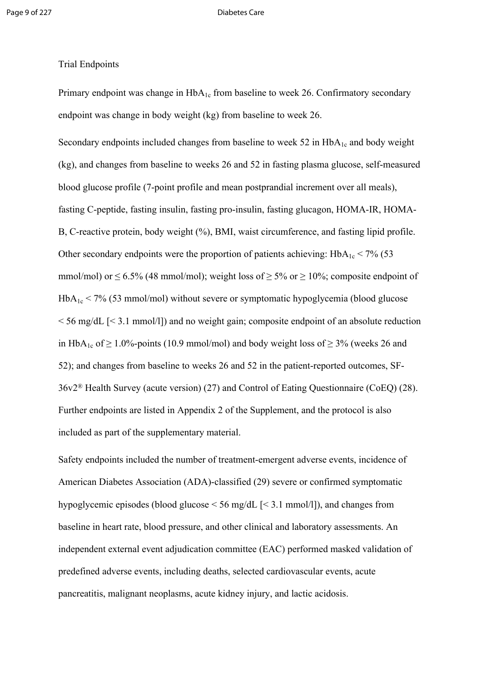### Page 9 of 227 Diabetes Care

### Trial Endpoints

Primary endpoint was change in  $HbA_{1c}$  from baseline to week 26. Confirmatory secondary endpoint was change in body weight (kg) from baseline to week 26.

Secondary endpoints included changes from baseline to week 52 in  $HbA_{1c}$  and body weight (kg), and changes from baseline to weeks 26 and 52 in fasting plasma glucose, self-measured blood glucose profile (7-point profile and mean postprandial increment over all meals), fasting C-peptide, fasting insulin, fasting pro-insulin, fasting glucagon, HOMA-IR, HOMA-B, C-reactive protein, body weight (%), BMI, waist circumference, and fasting lipid profile. Other secondary endpoints were the proportion of patients achieving:  $HbA_{1c} < 7\%$  (53) mmol/mol) or  $\leq 6.5\%$  (48 mmol/mol); weight loss of  $\geq 5\%$  or  $\geq 10\%$ ; composite endpoint of  $HbA_{1c}$  < 7% (53 mmol/mol) without severe or symptomatic hypoglycemia (blood glucose  $\leq$  56 mg/dL  $\leq$  3.1 mmol/l]) and no weight gain; composite endpoint of an absolute reduction in HbA<sub>1c</sub> of  $\geq 1.0\%$ -points (10.9 mmol/mol) and body weight loss of  $\geq 3\%$  (weeks 26 and 52); and changes from baseline to weeks 26 and 52 in the patient-reported outcomes, SF-36v2® Health Survey (acute version) (27) and Control of Eating Questionnaire (CoEQ) (28). Further endpoints are listed in Appendix 2 of the Supplement, and the protocol is also included as part of the supplementary material.

Safety endpoints included the number of treatment-emergent adverse events, incidence of American Diabetes Association (ADA)-classified (29) severe or confirmed symptomatic hypoglycemic episodes (blood glucose < 56 mg/dL [< 3.1 mmol/l]), and changes from baseline in heart rate, blood pressure, and other clinical and laboratory assessments. An independent external event adjudication committee (EAC) performed masked validation of predefined adverse events, including deaths, selected cardiovascular events, acute pancreatitis, malignant neoplasms, acute kidney injury, and lactic acidosis.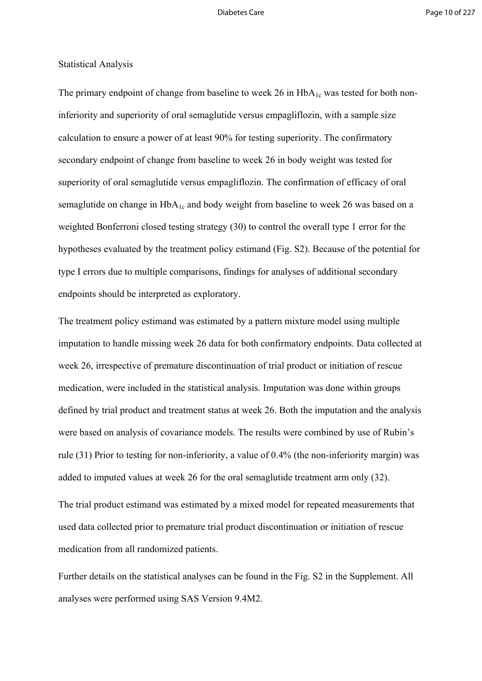### Statistical Analysis

The primary endpoint of change from baseline to week 26 in  $HbA_{1c}$  was tested for both noninferiority and superiority of oral semaglutide versus empagliflozin, with a sample size calculation to ensure a power of at least 90% for testing superiority. The confirmatory secondary endpoint of change from baseline to week 26 in body weight was tested for superiority of oral semaglutide versus empagliflozin. The confirmation of efficacy of oral semaglutide on change in  $HbA_{1c}$  and body weight from baseline to week 26 was based on a weighted Bonferroni closed testing strategy (30) to control the overall type 1 error for the hypotheses evaluated by the treatment policy estimand (Fig. S2). Because of the potential for type I errors due to multiple comparisons, findings for analyses of additional secondary endpoints should be interpreted as exploratory.

The treatment policy estimand was estimated by a pattern mixture model using multiple imputation to handle missing week 26 data for both confirmatory endpoints. Data collected at week 26, irrespective of premature discontinuation of trial product or initiation of rescue medication, were included in the statistical analysis. Imputation was done within groups defined by trial product and treatment status at week 26. Both the imputation and the analysis were based on analysis of covariance models. The results were combined by use of Rubin's rule (31) Prior to testing for non-inferiority, a value of 0.4% (the non-inferiority margin) was added to imputed values at week 26 for the oral semaglutide treatment arm only (32).

The trial product estimand was estimated by a mixed model for repeated measurements that used data collected prior to premature trial product discontinuation or initiation of rescue medication from all randomized patients.

Further details on the statistical analyses can be found in the Fig. S2 in the Supplement. All analyses were performed using SAS Version 9.4M2.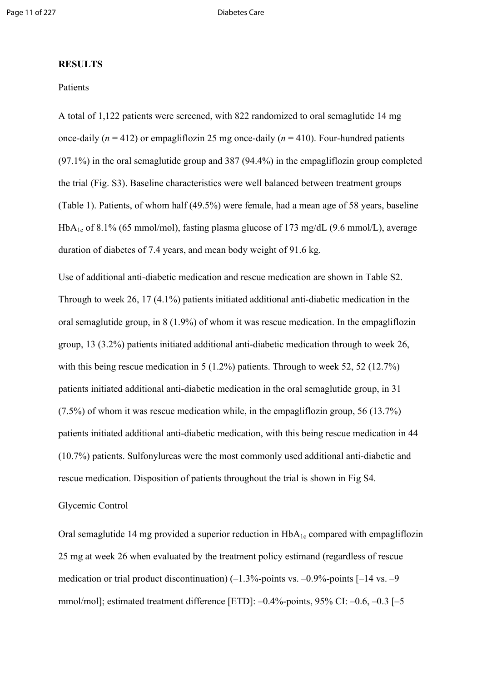### **RESULTS**

### **Patients**

A total of 1,122 patients were screened, with 822 randomized to oral semaglutide 14 mg once-daily  $(n = 412)$  or empagliflozin 25 mg once-daily  $(n = 410)$ . Four-hundred patients (97.1%) in the oral semaglutide group and 387 (94.4%) in the empagliflozin group completed the trial (Fig. S3). Baseline characteristics were well balanced between treatment groups (Table 1). Patients, of whom half (49.5%) were female, had a mean age of 58 years, baseline HbA<sub>1c</sub> of 8.1% (65 mmol/mol), fasting plasma glucose of 173 mg/dL (9.6 mmol/L), average duration of diabetes of 7.4 years, and mean body weight of 91.6 kg.

Use of additional anti-diabetic medication and rescue medication are shown in Table S2. Through to week 26, 17 (4.1%) patients initiated additional anti-diabetic medication in the oral semaglutide group, in 8 (1.9%) of whom it was rescue medication. In the empagliflozin group, 13 (3.2%) patients initiated additional anti-diabetic medication through to week 26, with this being rescue medication in 5 (1.2%) patients. Through to week 52, 52 (12.7%) patients initiated additional anti-diabetic medication in the oral semaglutide group, in 31 (7.5%) of whom it was rescue medication while, in the empagliflozin group, 56 (13.7%) patients initiated additional anti-diabetic medication, with this being rescue medication in 44 (10.7%) patients. Sulfonylureas were the most commonly used additional anti-diabetic and rescue medication. Disposition of patients throughout the trial is shown in Fig S4.

### Glycemic Control

Oral semaglutide 14 mg provided a superior reduction in  $HbA<sub>1c</sub>$  compared with empagliflozin 25 mg at week 26 when evaluated by the treatment policy estimand (regardless of rescue medication or trial product discontinuation)  $(-1.3\%$ -points vs.  $-0.9\%$ -points  $[-14 \text{ vs. } -9$ mmol/mol]; estimated treatment difference [ETD]: –0.4%-points, 95% CI: –0.6, –0.3 [–5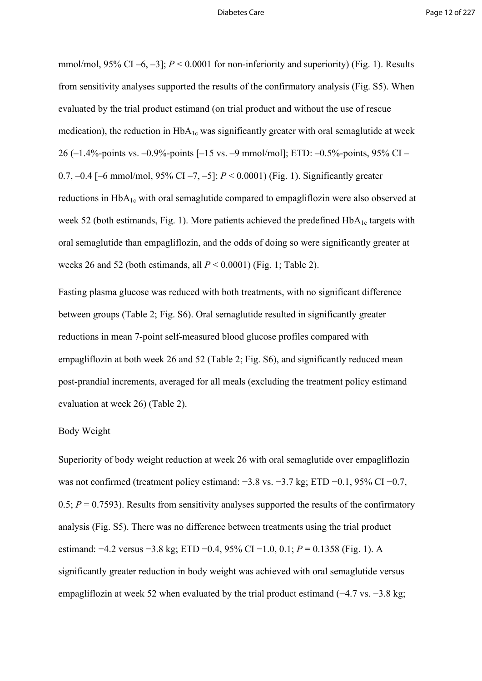mmol/mol,  $95\%$  CI –6, –3];  $P < 0.0001$  for non-inferiority and superiority) (Fig. 1). Results from sensitivity analyses supported the results of the confirmatory analysis (Fig. S5). When evaluated by the trial product estimand (on trial product and without the use of rescue medication), the reduction in  $HbA_{1c}$  was significantly greater with oral semaglutide at week 26 (–1.4%-points vs. –0.9%-points [–15 vs. –9 mmol/mol]; ETD: –0.5%-points, 95% CI – 0.7, –0.4 [–6 mmol/mol, 95% CI –7, –5]; *P* < 0.0001) (Fig. 1). Significantly greater reductions in  $HbA_{1c}$  with oral semaglutide compared to empagliflozin were also observed at week 52 (both estimands, Fig. 1). More patients achieved the predefined  $HbA_{1c}$  targets with oral semaglutide than empagliflozin, and the odds of doing so were significantly greater at weeks 26 and 52 (both estimands, all  $P < 0.0001$ ) (Fig. 1; Table 2).

Fasting plasma glucose was reduced with both treatments, with no significant difference between groups (Table 2; Fig. S6). Oral semaglutide resulted in significantly greater reductions in mean 7-point self-measured blood glucose profiles compared with empagliflozin at both week 26 and 52 (Table 2; Fig. S6), and significantly reduced mean post-prandial increments, averaged for all meals (excluding the treatment policy estimand evaluation at week 26) (Table 2).

### Body Weight

Superiority of body weight reduction at week 26 with oral semaglutide over empagliflozin was not confirmed (treatment policy estimand: −3.8 vs. −3.7 kg; ETD −0.1, 95% CI −0.7, 0.5;  $P = 0.7593$ ). Results from sensitivity analyses supported the results of the confirmatory analysis (Fig. S5). There was no difference between treatments using the trial product estimand: −4.2 versus −3.8 kg; ETD −0.4, 95% CI −1.0, 0.1; *P* = 0.1358 (Fig. 1). A significantly greater reduction in body weight was achieved with oral semaglutide versus empagliflozin at week 52 when evaluated by the trial product estimand (−4.7 vs. −3.8 kg;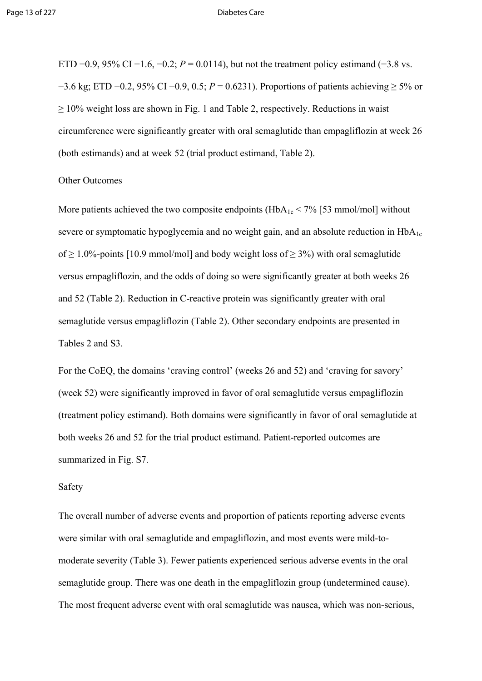ETD  $-0.9$ , 95% CI  $-1.6$ ,  $-0.2$ ;  $P = 0.0114$ ), but not the treatment policy estimand (−3.8 vs. −3.6 kg; ETD −0.2, 95% CI −0.9, 0.5; *P* = 0.6231). Proportions of patients achieving ≥ 5% or  $\geq$  10% weight loss are shown in Fig. 1 and Table 2, respectively. Reductions in waist circumference were significantly greater with oral semaglutide than empagliflozin at week 26 (both estimands) and at week 52 (trial product estimand, Table 2).

### Other Outcomes

More patients achieved the two composite endpoints ( $HbA_{1c}$  < 7% [53 mmol/mol] without severe or symptomatic hypoglycemia and no weight gain, and an absolute reduction in  $HbA_{1c}$ of  $> 1.0\%$ -points [10.9 mmol/mol] and body weight loss of  $> 3\%$ ) with oral semaglutide versus empagliflozin, and the odds of doing so were significantly greater at both weeks 26 and 52 (Table 2). Reduction in C-reactive protein was significantly greater with oral semaglutide versus empagliflozin (Table 2). Other secondary endpoints are presented in Tables 2 and S3.

For the CoEQ, the domains 'craving control' (weeks 26 and 52) and 'craving for savory' (week 52) were significantly improved in favor of oral semaglutide versus empagliflozin (treatment policy estimand). Both domains were significantly in favor of oral semaglutide at both weeks 26 and 52 for the trial product estimand. Patient-reported outcomes are summarized in Fig. S7.

### Safety

The overall number of adverse events and proportion of patients reporting adverse events were similar with oral semaglutide and empagliflozin, and most events were mild-tomoderate severity (Table 3). Fewer patients experienced serious adverse events in the oral semaglutide group. There was one death in the empagliflozin group (undetermined cause). The most frequent adverse event with oral semaglutide was nausea, which was non-serious,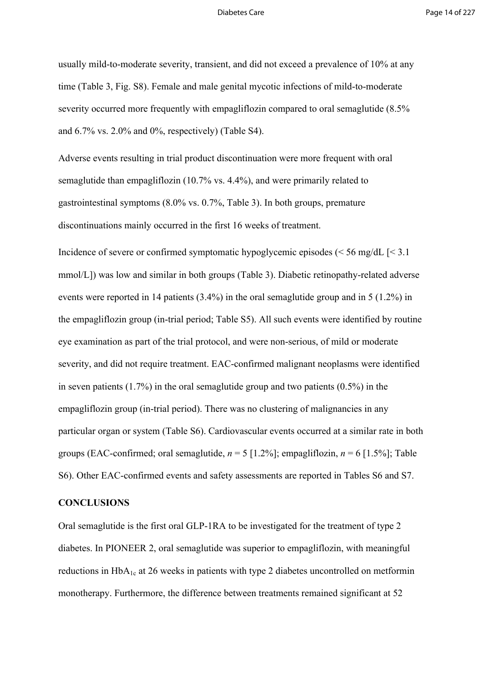usually mild-to-moderate severity, transient, and did not exceed a prevalence of 10% at any time (Table 3, Fig. S8). Female and male genital mycotic infections of mild-to-moderate severity occurred more frequently with empagliflozin compared to oral semaglutide (8.5% and  $6.7\%$  vs.  $2.0\%$  and  $0\%$ , respectively) (Table S4).

Adverse events resulting in trial product discontinuation were more frequent with oral semaglutide than empagliflozin (10.7% vs. 4.4%), and were primarily related to gastrointestinal symptoms (8.0% vs. 0.7%, Table 3). In both groups, premature discontinuations mainly occurred in the first 16 weeks of treatment.

Incidence of severe or confirmed symptomatic hypoglycemic episodes ( $\leq 56$  mg/dL [ $\leq 3.1$ ] mmol/L]) was low and similar in both groups (Table 3). Diabetic retinopathy-related adverse events were reported in 14 patients (3.4%) in the oral semaglutide group and in 5 (1.2%) in the empagliflozin group (in-trial period; Table S5). All such events were identified by routine eye examination as part of the trial protocol, and were non-serious, of mild or moderate severity, and did not require treatment. EAC-confirmed malignant neoplasms were identified in seven patients  $(1.7\%)$  in the oral semaglutide group and two patients  $(0.5\%)$  in the empagliflozin group (in-trial period). There was no clustering of malignancies in any particular organ or system (Table S6). Cardiovascular events occurred at a similar rate in both groups (EAC-confirmed; oral semaglutide,  $n = 5$  [1.2%]; empagliflozin,  $n = 6$  [1.5%]; Table S6). Other EAC-confirmed events and safety assessments are reported in Tables S6 and S7.

### **CONCLUSIONS**

Oral semaglutide is the first oral GLP-1RA to be investigated for the treatment of type 2 diabetes. In PIONEER 2, oral semaglutide was superior to empagliflozin, with meaningful reductions in HbA1c at 26 weeks in patients with type 2 diabetes uncontrolled on metformin monotherapy. Furthermore, the difference between treatments remained significant at 52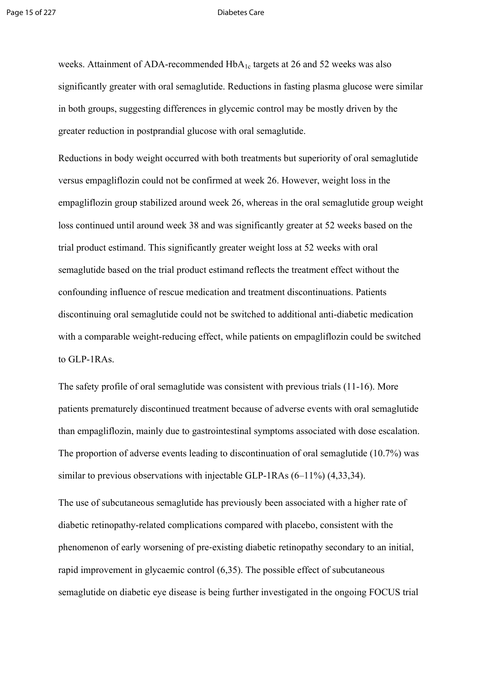weeks. Attainment of ADA-recommended  $HbA_{1c}$  targets at 26 and 52 weeks was also significantly greater with oral semaglutide. Reductions in fasting plasma glucose were similar in both groups, suggesting differences in glycemic control may be mostly driven by the greater reduction in postprandial glucose with oral semaglutide.

Reductions in body weight occurred with both treatments but superiority of oral semaglutide versus empagliflozin could not be confirmed at week 26. However, weight loss in the empagliflozin group stabilized around week 26, whereas in the oral semaglutide group weight loss continued until around week 38 and was significantly greater at 52 weeks based on the trial product estimand. This significantly greater weight loss at 52 weeks with oral semaglutide based on the trial product estimand reflects the treatment effect without the confounding influence of rescue medication and treatment discontinuations. Patients discontinuing oral semaglutide could not be switched to additional anti-diabetic medication with a comparable weight-reducing effect, while patients on empagliflozin could be switched to GLP-1RAs.

The safety profile of oral semaglutide was consistent with previous trials (11-16). More patients prematurely discontinued treatment because of adverse events with oral semaglutide than empagliflozin, mainly due to gastrointestinal symptoms associated with dose escalation. The proportion of adverse events leading to discontinuation of oral semaglutide (10.7%) was similar to previous observations with injectable GLP-1RAs (6–11%) (4,33,34).

The use of subcutaneous semaglutide has previously been associated with a higher rate of diabetic retinopathy-related complications compared with placebo, consistent with the phenomenon of early worsening of pre‐existing diabetic retinopathy secondary to an initial, rapid improvement in glycaemic control (6,35). The possible effect of subcutaneous semaglutide on diabetic eye disease is being further investigated in the ongoing FOCUS trial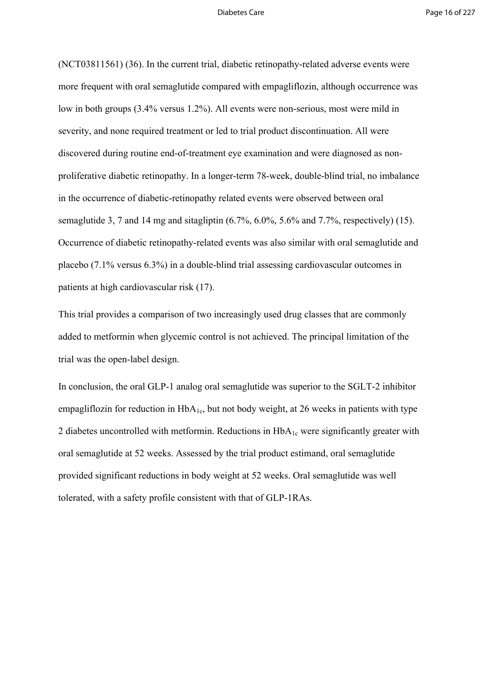(NCT03811561) (36). In the current trial, diabetic retinopathy-related adverse events were more frequent with oral semaglutide compared with empagliflozin, although occurrence was low in both groups (3.4% versus 1.2%). All events were non-serious, most were mild in severity, and none required treatment or led to trial product discontinuation. All were discovered during routine end-of-treatment eye examination and were diagnosed as nonproliferative diabetic retinopathy. In a longer-term 78-week, double-blind trial, no imbalance in the occurrence of diabetic-retinopathy related events were observed between oral semaglutide 3, 7 and 14 mg and sitagliptin  $(6.7\%, 6.0\%, 5.6\%$  and  $7.7\%,$  respectively) (15). Occurrence of diabetic retinopathy-related events was also similar with oral semaglutide and placebo (7.1% versus 6.3%) in a double-blind trial assessing cardiovascular outcomes in patients at high cardiovascular risk (17).

This trial provides a comparison of two increasingly used drug classes that are commonly added to metformin when glycemic control is not achieved. The principal limitation of the trial was the open-label design.

In conclusion, the oral GLP-1 analog oral semaglutide was superior to the SGLT-2 inhibitor empagliflozin for reduction in  $HbA_{1c}$ , but not body weight, at 26 weeks in patients with type 2 diabetes uncontrolled with metformin. Reductions in  $HbA_{1c}$  were significantly greater with oral semaglutide at 52 weeks. Assessed by the trial product estimand, oral semaglutide provided significant reductions in body weight at 52 weeks. Oral semaglutide was well tolerated, with a safety profile consistent with that of GLP-1RAs.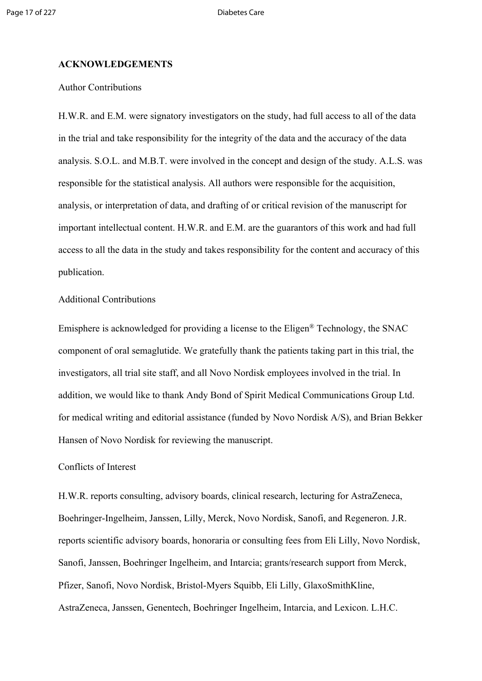### **ACKNOWLEDGEMENTS**

### Author Contributions

H.W.R. and E.M. were signatory investigators on the study, had full access to all of the data in the trial and take responsibility for the integrity of the data and the accuracy of the data analysis. S.O.L. and M.B.T. were involved in the concept and design of the study. A.L.S. was responsible for the statistical analysis. All authors were responsible for the acquisition, analysis, or interpretation of data, and drafting of or critical revision of the manuscript for important intellectual content. H.W.R. and E.M. are the guarantors of this work and had full access to all the data in the study and takes responsibility for the content and accuracy of this publication.

### Additional Contributions

Emisphere is acknowledged for providing a license to the Eligen® Technology, the SNAC component of oral semaglutide. We gratefully thank the patients taking part in this trial, the investigators, all trial site staff, and all Novo Nordisk employees involved in the trial. In addition, we would like to thank Andy Bond of Spirit Medical Communications Group Ltd. for medical writing and editorial assistance (funded by Novo Nordisk A/S), and Brian Bekker Hansen of Novo Nordisk for reviewing the manuscript.

### Conflicts of Interest

H.W.R. reports consulting, advisory boards, clinical research, lecturing for AstraZeneca, Boehringer-Ingelheim, Janssen, Lilly, Merck, Novo Nordisk, Sanofi, and Regeneron. J.R. reports scientific advisory boards, honoraria or consulting fees from Eli Lilly, Novo Nordisk, Sanofi, Janssen, Boehringer Ingelheim, and Intarcia; grants/research support from Merck, Pfizer, Sanofi, Novo Nordisk, Bristol-Myers Squibb, Eli Lilly, GlaxoSmithKline, AstraZeneca, Janssen, Genentech, Boehringer Ingelheim, Intarcia, and Lexicon. L.H.C.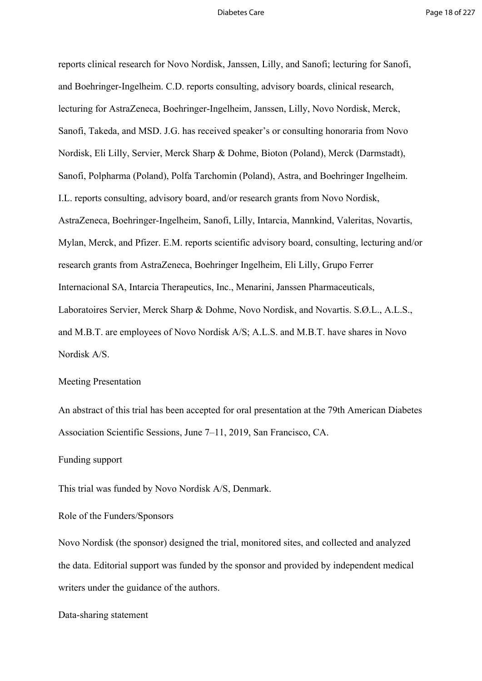reports clinical research for Novo Nordisk, Janssen, Lilly, and Sanofi; lecturing for Sanofi, and Boehringer-Ingelheim. C.D. reports consulting, advisory boards, clinical research, lecturing for AstraZeneca, Boehringer-Ingelheim, Janssen, Lilly, Novo Nordisk, Merck, Sanofi, Takeda, and MSD. J.G. has received speaker's or consulting honoraria from Novo Nordisk, Eli Lilly, Servier, Merck Sharp & Dohme, Bioton (Poland), Merck (Darmstadt), Sanofi, Polpharma (Poland), Polfa Tarchomin (Poland), Astra, and Boehringer Ingelheim. I.L. reports consulting, advisory board, and/or research grants from Novo Nordisk, AstraZeneca, Boehringer-Ingelheim, Sanofi, Lilly, Intarcia, Mannkind, Valeritas, Novartis, Mylan, Merck, and Pfizer. E.M. reports scientific advisory board, consulting, lecturing and/or research grants from AstraZeneca, Boehringer Ingelheim, Eli Lilly, Grupo Ferrer Internacional SA, Intarcia Therapeutics, Inc., Menarini, Janssen Pharmaceuticals, Laboratoires Servier, Merck Sharp & Dohme, Novo Nordisk, and Novartis. S.Ø.L., A.L.S., and M.B.T. are employees of Novo Nordisk A/S; A.L.S. and M.B.T. have shares in Novo Nordisk A/S.

### Meeting Presentation

An abstract of this trial has been accepted for oral presentation at the 79th American Diabetes Association Scientific Sessions, June 7–11, 2019, San Francisco, CA.

### Funding support

This trial was funded by Novo Nordisk A/S, Denmark.

### Role of the Funders/Sponsors

Novo Nordisk (the sponsor) designed the trial, monitored sites, and collected and analyzed the data. Editorial support was funded by the sponsor and provided by independent medical writers under the guidance of the authors.

Data-sharing statement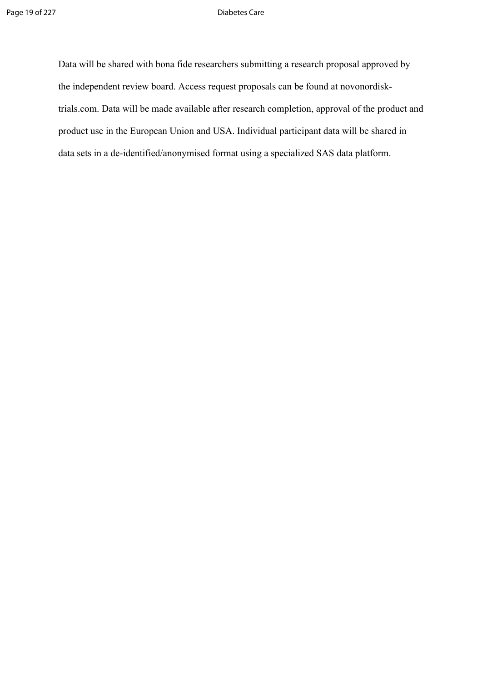Data will be shared with bona fide researchers submitting a research proposal approved by the independent review board. Access request proposals can be found at novonordisktrials.com. Data will be made available after research completion, approval of the product and product use in the European Union and USA. Individual participant data will be shared in data sets in a de-identified/anonymised format using a specialized SAS data platform.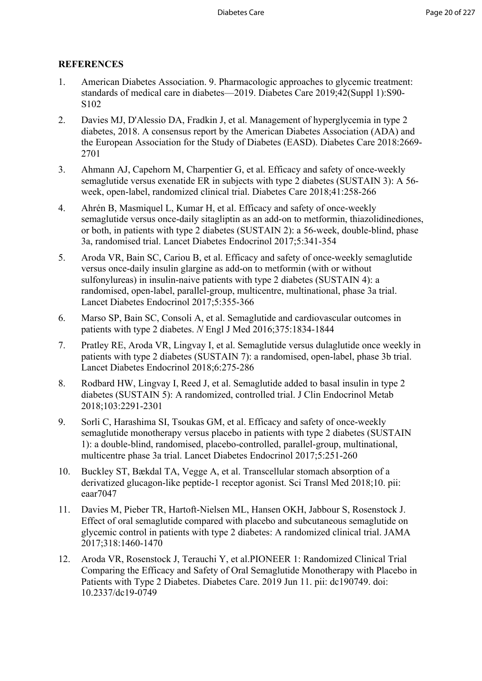### **REFERENCES**

- 1. American Diabetes Association. 9. Pharmacologic approaches to glycemic treatment: standards of medical care in diabetes—2019. Diabetes Care 2019;42(Suppl 1):S90- S102
- 2. Davies MJ, D'Alessio DA, Fradkin J, et al. Management of hyperglycemia in type 2 diabetes, 2018. A consensus report by the American Diabetes Association (ADA) and the European Association for the Study of Diabetes (EASD). Diabetes Care 2018:2669- 2701
- 3. Ahmann AJ, Capehorn M, Charpentier G, et al. Efficacy and safety of once-weekly semaglutide versus exenatide ER in subjects with type 2 diabetes (SUSTAIN 3): A 56 week, open-label, randomized clinical trial. Diabetes Care 2018;41:258-266
- 4. Ahrén B, Masmiquel L, Kumar H, et al. Efficacy and safety of once-weekly semaglutide versus once-daily sitagliptin as an add-on to metformin, thiazolidinediones, or both, in patients with type 2 diabetes (SUSTAIN 2): a 56-week, double-blind, phase 3a, randomised trial. Lancet Diabetes Endocrinol 2017;5:341-354
- 5. Aroda VR, Bain SC, Cariou B, et al. Efficacy and safety of once-weekly semaglutide versus once-daily insulin glargine as add-on to metformin (with or without sulfonylureas) in insulin-naive patients with type 2 diabetes (SUSTAIN 4): a randomised, open-label, parallel-group, multicentre, multinational, phase 3a trial. Lancet Diabetes Endocrinol 2017;5:355-366
- 6. Marso SP, Bain SC, Consoli A, et al. Semaglutide and cardiovascular outcomes in patients with type 2 diabetes. *N* Engl J Med 2016;375:1834-1844
- 7. Pratley RE, Aroda VR, Lingvay I, et al. Semaglutide versus dulaglutide once weekly in patients with type 2 diabetes (SUSTAIN 7): a randomised, open-label, phase 3b trial. Lancet Diabetes Endocrinol 2018;6:275-286
- 8. Rodbard HW, Lingvay I, Reed J, et al. Semaglutide added to basal insulin in type 2 diabetes (SUSTAIN 5): A randomized, controlled trial. J Clin Endocrinol Metab 2018;103:2291-2301
- 9. Sorli C, Harashima SI, Tsoukas GM, et al. Efficacy and safety of once-weekly semaglutide monotherapy versus placebo in patients with type 2 diabetes (SUSTAIN 1): a double-blind, randomised, placebo-controlled, parallel-group, multinational, multicentre phase 3a trial. Lancet Diabetes Endocrinol 2017;5:251-260
- 10. Buckley ST, Bækdal TA, Vegge A, et al. Transcellular stomach absorption of a derivatized glucagon-like peptide-1 receptor agonist. Sci Transl Med 2018;10. pii: eaar7047
- 11. Davies M, Pieber TR, Hartoft-Nielsen ML, Hansen OKH, Jabbour S, Rosenstock J. Effect of oral semaglutide compared with placebo and subcutaneous semaglutide on glycemic control in patients with type 2 diabetes: A randomized clinical trial. JAMA 2017;318:1460-1470
- 12. Aroda VR, Rosenstock J, Terauchi Y, et al.PIONEER 1: Randomized Clinical Trial Comparing the Efficacy and Safety of Oral Semaglutide Monotherapy with Placebo in Patients with Type 2 Diabetes. Diabetes Care. 2019 Jun 11. pii: dc190749. doi: 10.2337/dc19-0749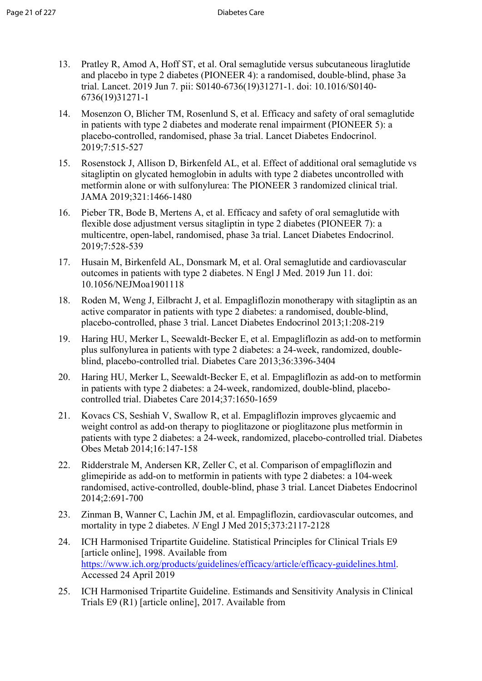- 13. Pratley R, Amod A, Hoff ST, et al. Oral semaglutide versus subcutaneous liraglutide and placebo in type 2 diabetes (PIONEER 4): a randomised, double-blind, phase 3a trial. Lancet. 2019 Jun 7. pii: S0140-6736(19)31271-1. doi: 10.1016/S0140- 6736(19)31271-1
- 14. Mosenzon O, Blicher TM, Rosenlund S, et al. Efficacy and safety of oral semaglutide in patients with type 2 diabetes and moderate renal impairment (PIONEER 5): a placebo-controlled, randomised, phase 3a trial. Lancet Diabetes Endocrinol. 2019;7:515-527
- 15. Rosenstock J, Allison D, Birkenfeld AL, et al. Effect of additional oral semaglutide vs sitagliptin on glycated hemoglobin in adults with type 2 diabetes uncontrolled with metformin alone or with sulfonylurea: The PIONEER 3 randomized clinical trial. JAMA 2019;321:1466-1480
- 16. Pieber TR, Bode B, Mertens A, et al. Efficacy and safety of oral semaglutide with flexible dose adjustment versus sitagliptin in type 2 diabetes (PIONEER 7): a multicentre, open-label, randomised, phase 3a trial. Lancet Diabetes Endocrinol. 2019;7:528-539
- 17. Husain M, Birkenfeld AL, Donsmark M, et al. Oral semaglutide and cardiovascular outcomes in patients with type 2 diabetes. N Engl J Med. 2019 Jun 11. doi: 10.1056/NEJMoa1901118
- 18. Roden M, Weng J, Eilbracht J, et al. Empagliflozin monotherapy with sitagliptin as an active comparator in patients with type 2 diabetes: a randomised, double-blind, placebo-controlled, phase 3 trial. Lancet Diabetes Endocrinol 2013;1:208-219
- 19. Haring HU, Merker L, Seewaldt-Becker E, et al. Empagliflozin as add-on to metformin plus sulfonylurea in patients with type 2 diabetes: a 24-week, randomized, doubleblind, placebo-controlled trial. Diabetes Care 2013;36:3396-3404
- 20. Haring HU, Merker L, Seewaldt-Becker E, et al. Empagliflozin as add-on to metformin in patients with type 2 diabetes: a 24-week, randomized, double-blind, placebocontrolled trial. Diabetes Care 2014;37:1650-1659
- 21. Kovacs CS, Seshiah V, Swallow R, et al. Empagliflozin improves glycaemic and weight control as add-on therapy to pioglitazone or pioglitazone plus metformin in patients with type 2 diabetes: a 24-week, randomized, placebo-controlled trial. Diabetes Obes Metab 2014;16:147-158
- 22. Ridderstrale M, Andersen KR, Zeller C, et al. Comparison of empagliflozin and glimepiride as add-on to metformin in patients with type 2 diabetes: a 104-week randomised, active-controlled, double-blind, phase 3 trial. Lancet Diabetes Endocrinol 2014;2:691-700
- 23. Zinman B, Wanner C, Lachin JM, et al. Empagliflozin, cardiovascular outcomes, and mortality in type 2 diabetes. *N* Engl J Med 2015;373:2117-2128
- 24. ICH Harmonised Tripartite Guideline. Statistical Principles for Clinical Trials E9 [article online], 1998. Available from <https://www.ich.org/products/guidelines/efficacy/article/efficacy-guidelines.html>. Accessed 24 April 2019
- 25. ICH Harmonised Tripartite Guideline. Estimands and Sensitivity Analysis in Clinical Trials E9 (R1) [article online], 2017. Available from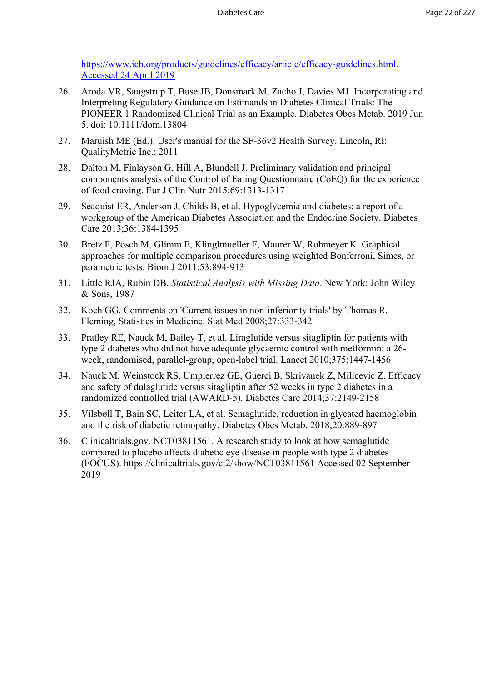[https://www.ich.org/products/guidelines/efficacy/article/efficacy-guidelines.html.](https://www.ich.org/products/guidelines/efficacy/article/efficacy-guidelines.html.%20Accessed%2024%20April%202019)  [Accessed 24 April 2019](https://www.ich.org/products/guidelines/efficacy/article/efficacy-guidelines.html.%20Accessed%2024%20April%202019)

- 26. Aroda VR, Saugstrup T, Buse JB, Donsmark M, Zacho J, Davies MJ. Incorporating and Interpreting Regulatory Guidance on Estimands in Diabetes Clinical Trials: The PIONEER 1 Randomized Clinical Trial as an Example. Diabetes Obes Metab. 2019 Jun 5. doi: 10.1111/dom.13804
- 27. Maruish ME (Ed.). User's manual for the SF-36v2 Health Survey. Lincoln, RI: QualityMetric Inc.; 2011
- 28. Dalton M, Finlayson G, Hill A, Blundell J. Preliminary validation and principal components analysis of the Control of Eating Questionnaire (CoEQ) for the experience of food craving. Eur J Clin Nutr 2015;69:1313-1317
- 29. Seaquist ER, Anderson J, Childs B, et al. Hypoglycemia and diabetes: a report of a workgroup of the American Diabetes Association and the Endocrine Society. Diabetes Care 2013;36:1384-1395
- 30. Bretz F, Posch M, Glimm E, Klinglmueller F, Maurer W, Rohmeyer K. Graphical approaches for multiple comparison procedures using weighted Bonferroni, Simes, or parametric tests. Biom J 2011;53:894-913
- 31. Little RJA, Rubin DB. *Statistical Analysis with Missing Data*. New York: John Wiley & Sons, 1987
- 32. Koch GG. Comments on 'Current issues in non-inferiority trials' by Thomas R. Fleming, Statistics in Medicine. Stat Med 2008;27:333-342
- 33. Pratley RE, Nauck M, Bailey T, et al. Liraglutide versus sitagliptin for patients with type 2 diabetes who did not have adequate glycaemic control with metformin: a 26 week, randomised, parallel-group, open-label trial. Lancet 2010;375:1447-1456
- 34. Nauck M, Weinstock RS, Umpierrez GE, Guerci B, Skrivanek Z, Milicevic Z. Efficacy and safety of dulaglutide versus sitagliptin after 52 weeks in type 2 diabetes in a randomized controlled trial (AWARD-5). Diabetes Care 2014;37:2149-2158
- 35. Vilsbøll T, Bain SC, Leiter LA, et al. Semaglutide, reduction in glycated haemoglobin and the risk of diabetic retinopathy. Diabetes Obes Metab. 2018;20:889-897
- 36. Clinicaltrials.gov. NCT03811561. A research study to look at how semaglutide compared to placebo affects diabetic eye disease in people with type 2 diabetes (FOCUS).<https://clinicaltrials.gov/ct2/show/NCT03811561>Accessed 02 September 2019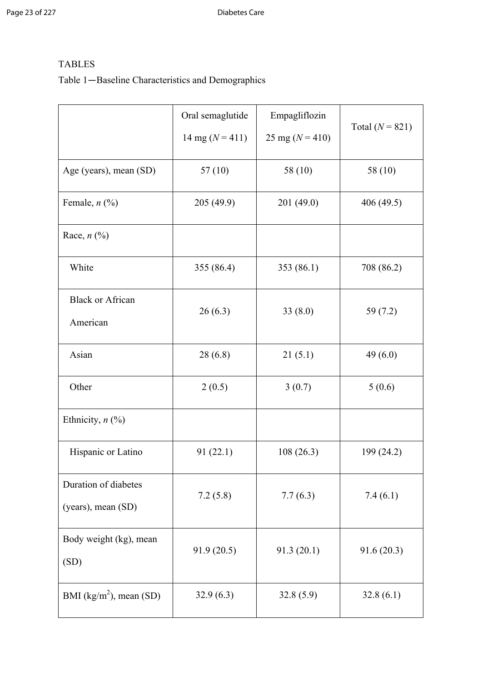## TABLES

# Table 1—Baseline Characteristics and Demographics

|                                            | Oral semaglutide    | Empagliflozin       |                   |
|--------------------------------------------|---------------------|---------------------|-------------------|
|                                            | 14 mg ( $N = 411$ ) | 25 mg ( $N = 410$ ) | Total $(N = 821)$ |
| Age (years), mean (SD)                     | 57(10)              | 58 (10)             | 58 (10)           |
| Female, $n$ $(\%)$                         | 205 (49.9)          | 201 (49.0)          | 406 (49.5)        |
| Race, $n$ $\left(\frac{9}{6}\right)$       |                     |                     |                   |
| White                                      | 355 (86.4)          | 353 (86.1)          | 708 (86.2)        |
| <b>Black or African</b><br>American        | 26(6.3)             | 33(8.0)             | 59(7.2)           |
| Asian                                      | 28(6.8)             | 21(5.1)             | 49(6.0)           |
| Other                                      | 2(0.5)              | 3(0.7)              | 5(0.6)            |
| Ethnicity, $n$ $\left(\frac{9}{6}\right)$  |                     |                     |                   |
| Hispanic or Latino                         | 91(22.1)            | 108(26.3)           | 199 (24.2)        |
| Duration of diabetes<br>(years), mean (SD) | 7.2(5.8)            | 7.7(6.3)            | 7.4(6.1)          |
| Body weight (kg), mean<br>(SD)             | 91.9(20.5)          | 91.3(20.1)          | 91.6(20.3)        |
| BMI ( $\text{kg/m}^2$ ), mean (SD)         | 32.9(6.3)           | 32.8(5.9)           | 32.8(6.1)         |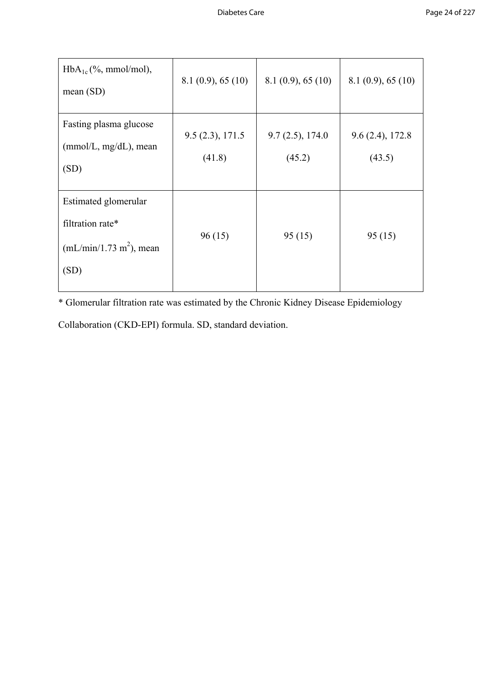| $HbA_{1c}$ (%, mmol/mol),<br>mean(SD)                                         | 8.1(0.9), 65(10)          | 8.1(0.9), 65(10)          | 8.1(0.9), 65(10)          |
|-------------------------------------------------------------------------------|---------------------------|---------------------------|---------------------------|
| Fasting plasma glucose<br>$(mmol/L, mg/dL)$ , mean<br>(SD)                    | 9.5(2.3), 171.5<br>(41.8) | 9.7(2.5), 174.0<br>(45.2) | 9.6(2.4), 172.8<br>(43.5) |
| Estimated glomerular<br>filtration rate*<br>$(mL/min/1.73 m2)$ , mean<br>(SD) | 96(15)                    | 95(15)                    | 95(15)                    |

\* Glomerular filtration rate was estimated by the Chronic Kidney Disease Epidemiology

Collaboration (CKD-EPI) formula. SD, standard deviation.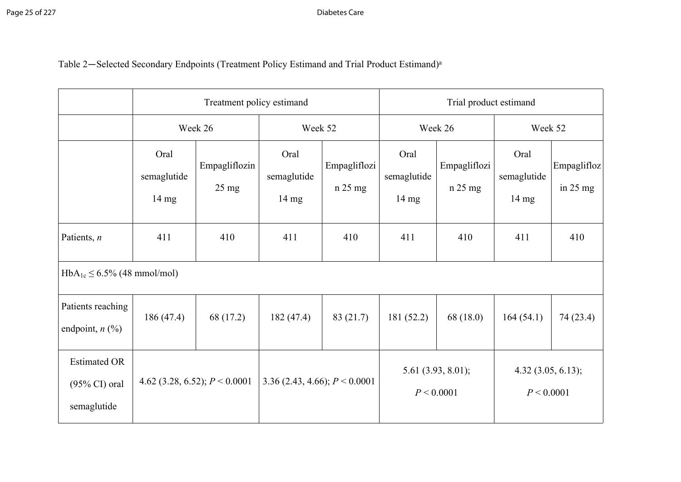# Table 2—Selected Secondary Endpoints (Treatment Policy Estimand and Trial Product Estimand)<sup>a</sup>

|                                                                |                                        | Treatment policy estimand        |                                        |                         |                                        | Trial product estimand  |                                        |                           |  |
|----------------------------------------------------------------|----------------------------------------|----------------------------------|----------------------------------------|-------------------------|----------------------------------------|-------------------------|----------------------------------------|---------------------------|--|
|                                                                |                                        | Week 26                          | Week 52                                |                         | Week 26                                |                         | Week 52                                |                           |  |
|                                                                | Oral<br>semaglutide<br>$14 \text{ mg}$ | Empagliflozin<br>$25 \text{ mg}$ | Oral<br>semaglutide<br>$14 \text{ mg}$ | Empagliflozi<br>n 25 mg | Oral<br>semaglutide<br>$14 \text{ mg}$ | Empagliflozi<br>n 25 mg | Oral<br>semaglutide<br>$14 \text{ mg}$ | Empaglifloz<br>in $25$ mg |  |
| Patients, $n$                                                  | 411                                    | 410                              | 411                                    | 410                     | 411                                    | 410                     | 411                                    | 410                       |  |
| $HbA_{1c} \le 6.5\%$ (48 mmol/mol)                             |                                        |                                  |                                        |                         |                                        |                         |                                        |                           |  |
| Patients reaching<br>endpoint, $n$ $(\%)$                      | 186(47.4)                              | 68 (17.2)                        | 182(47.4)                              | 83 (21.7)               | 181(52.2)                              | 68(18.0)                | 164(54.1)                              | 74 (23.4)                 |  |
| <b>Estimated OR</b><br>$(95\% \text{ CI})$ oral<br>semaglutide | 4.62 (3.28, 6.52); $P < 0.0001$        |                                  | 3.36 (2.43, 4.66); $P < 0.0001$        |                         | 5.61 $(3.93, 8.01)$ ;<br>P < 0.0001    |                         | 4.32(3.05, 6.13);<br>P < 0.0001        |                           |  |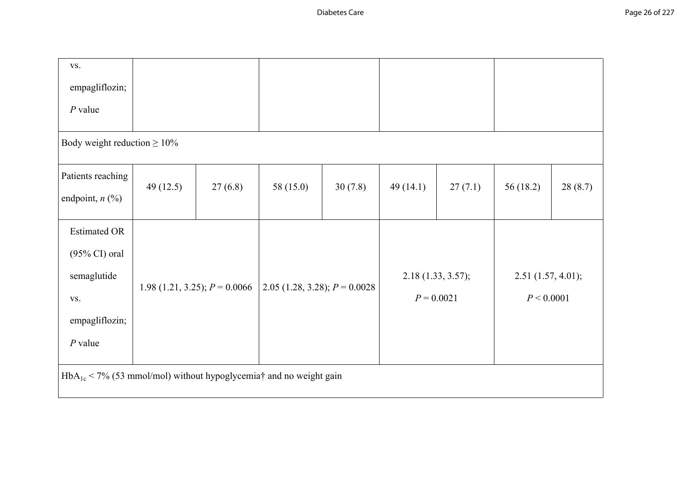| VS.                                                                                                  |           |                                 |                                 |         |          |                                   |                                       |         |
|------------------------------------------------------------------------------------------------------|-----------|---------------------------------|---------------------------------|---------|----------|-----------------------------------|---------------------------------------|---------|
| empagliflozin;                                                                                       |           |                                 |                                 |         |          |                                   |                                       |         |
| $P$ value                                                                                            |           |                                 |                                 |         |          |                                   |                                       |         |
| Body weight reduction $\geq 10\%$                                                                    |           |                                 |                                 |         |          |                                   |                                       |         |
| Patients reaching<br>endpoint, $n$ (%)                                                               | 49 (12.5) | 27(6.8)                         | 58 (15.0)                       | 30(7.8) | 49(14.1) | 27(7.1)                           | 56(18.2)                              | 28(8.7) |
| <b>Estimated OR</b><br>$(95\% \text{ CI})$ oral<br>semaglutide<br>VS.<br>empagliflozin;<br>$P$ value |           | 1.98 (1.21, 3.25); $P = 0.0066$ | 2.05 (1.28, 3.28); $P = 0.0028$ |         |          | 2.18(1.33, 3.57);<br>$P = 0.0021$ | $2.51$ $(1.57, 4.01)$ ;<br>P < 0.0001 |         |
| $HbA_{1c}$ < 7% (53 mmol/mol) without hypoglycemia† and no weight gain                               |           |                                 |                                 |         |          |                                   |                                       |         |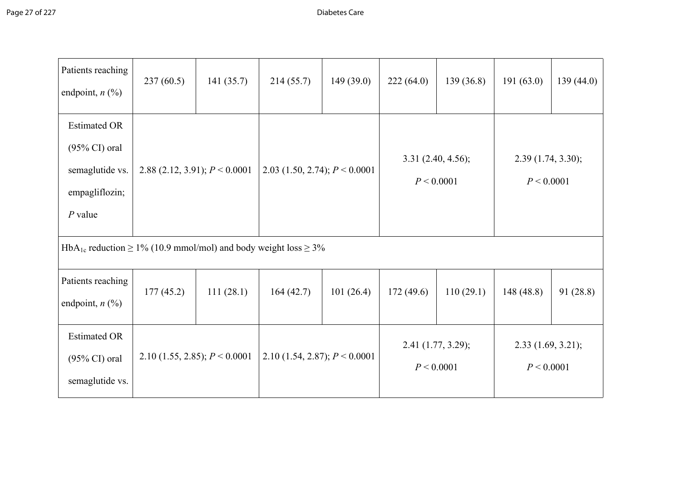| Patients reaching<br>endpoint, $n$ (%)                                                            | 237(60.5)                       | 141(35.7) | 214(55.7)                       | 149(39.0) | 222(64.0)                          | 139(36.8) | 191(63.0)                       | 139(44.0) |
|---------------------------------------------------------------------------------------------------|---------------------------------|-----------|---------------------------------|-----------|------------------------------------|-----------|---------------------------------|-----------|
| <b>Estimated OR</b><br>$(95\% \text{ CI})$ oral<br>semaglutide vs.<br>empagliflozin;<br>$P$ value | 2.88 (2.12, 3.91); $P < 0.0001$ |           | 2.03 (1.50, 2.74); $P < 0.0001$ |           | 3.31(2.40, 4.56);<br>P < 0.0001    |           | 2.39(1.74, 3.30);<br>P < 0.0001 |           |
| HbA <sub>1c</sub> reduction $\geq$ 1% (10.9 mmol/mol) and body weight loss $\geq$ 3%              |                                 |           |                                 |           |                                    |           |                                 |           |
| Patients reaching<br>endpoint, $n$ (%)                                                            | 177(45.2)                       | 111(28.1) | 164(42.7)                       | 101(26.4) | 172(49.6)                          | 110(29.1) | 148 (48.8)                      | 91(28.8)  |
| <b>Estimated OR</b><br>$(95\% \text{ CI})$ oral<br>semaglutide vs.                                | 2.10 (1.55, 2.85); $P < 0.0001$ |           | 2.10 (1.54, 2.87); $P < 0.0001$ |           | $2.41$ (1.77, 3.29);<br>P < 0.0001 |           | 2.33(1.69, 3.21);<br>P < 0.0001 |           |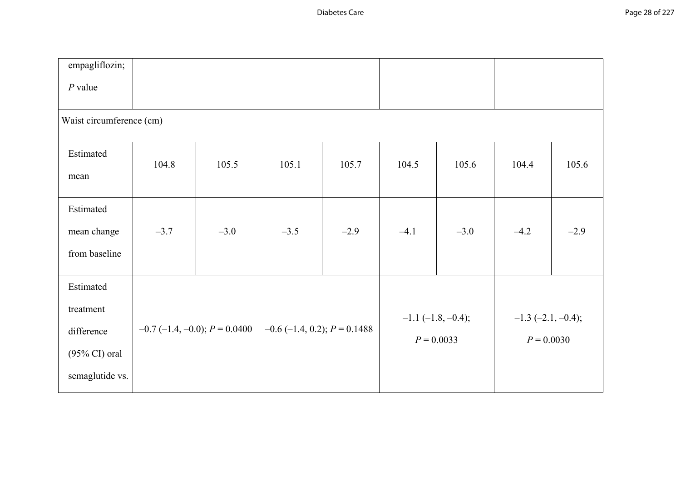| empagliflozin;                                                                      |        |                                   |                                  |        |        |                                             |                                         |        |
|-------------------------------------------------------------------------------------|--------|-----------------------------------|----------------------------------|--------|--------|---------------------------------------------|-----------------------------------------|--------|
| $P$ value                                                                           |        |                                   |                                  |        |        |                                             |                                         |        |
| Waist circumference (cm)                                                            |        |                                   |                                  |        |        |                                             |                                         |        |
| Estimated<br>mean                                                                   | 104.8  | 105.5                             | 105.1                            | 105.7  | 104.5  | 105.6                                       | 104.4                                   | 105.6  |
| Estimated<br>mean change<br>from baseline                                           | $-3.7$ | $-3.0$                            | $-3.5$                           | $-2.9$ | $-4.1$ | $-3.0$                                      | $-4.2$                                  | $-2.9$ |
| Estimated<br>treatment<br>difference<br>$(95\% \text{ CI})$ oral<br>semaglutide vs. |        | $-0.7$ (-1.4, -0.0); $P = 0.0400$ | $-0.6$ (-1.4, 0.2); $P = 0.1488$ |        |        | $-1.1$ ( $-1.8$ , $-0.4$ );<br>$P = 0.0033$ | $-1.3$ $(-2.1, -0.4)$ ;<br>$P = 0.0030$ |        |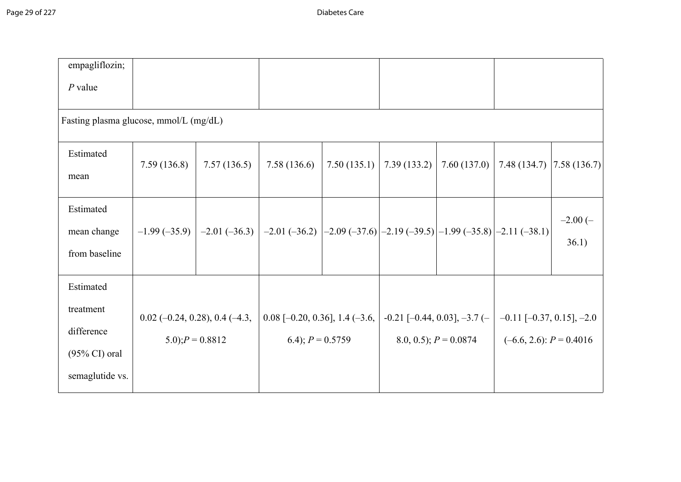| empagliflozin;                                                                      |                                  |                     |                                                                        |             |             |                                                                       |                                                                  |                    |
|-------------------------------------------------------------------------------------|----------------------------------|---------------------|------------------------------------------------------------------------|-------------|-------------|-----------------------------------------------------------------------|------------------------------------------------------------------|--------------------|
| $P$ value                                                                           |                                  |                     |                                                                        |             |             |                                                                       |                                                                  |                    |
| Fasting plasma glucose, mmol/L (mg/dL)                                              |                                  |                     |                                                                        |             |             |                                                                       |                                                                  |                    |
| Estimated<br>mean                                                                   | 7.59(136.8)                      | 7.57(136.5)         | 7.58(136.6)                                                            | 7.50(135.1) | 7.39(133.2) | 7.60(137.0)                                                           | 7.48(134.7)                                                      | 7.58(136.7)        |
| Estimated<br>mean change<br>from baseline                                           | $-1.99(-35.9)$                   | $-2.01(-36.3)$      | $-2.01(-36.2)$ $ -2.09(-37.6) -2.19(-39.5) -1.99(-35.8) -2.11(-38.1) $ |             |             |                                                                       |                                                                  | $-2.00(-$<br>36.1) |
| Estimated<br>treatment<br>difference<br>$(95\% \text{ CI})$ oral<br>semaglutide vs. | $0.02$ (-0.24, 0.28), 0.4 (-4.3, | $(5.0); P = 0.8812$ | $0.08$ [-0.20, 0.36], 1.4 (-3.6,<br>6.4); $P = 0.5759$                 |             |             | $-0.21$ [ $-0.44$ , $0.03$ ], $-3.7$ ( $-$<br>8.0, 0.5); $P = 0.0874$ | $-0.11$ $[-0.37, 0.15]$ , $-2.0$<br>$(-6.6, 2.6)$ : $P = 0.4016$ |                    |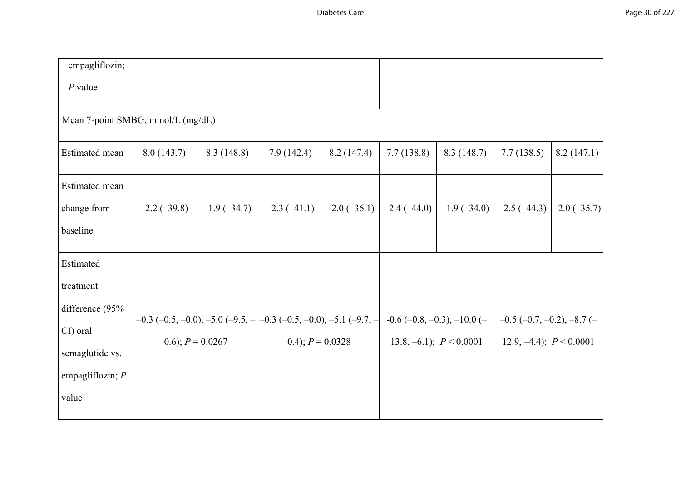| empagliflozin;                    |                    |            |                                                                                                                                  |            |            |                             |                           |            |
|-----------------------------------|--------------------|------------|----------------------------------------------------------------------------------------------------------------------------------|------------|------------|-----------------------------|---------------------------|------------|
| $P$ value                         |                    |            |                                                                                                                                  |            |            |                             |                           |            |
| Mean 7-point SMBG, mmol/L (mg/dL) |                    |            |                                                                                                                                  |            |            |                             |                           |            |
| Estimated mean                    | 8.0(143.7)         | 8.3(148.8) | 7.9(142.4)                                                                                                                       | 8.2(147.4) | 7.7(138.8) | 8.3(148.7)                  | 7.7(138.5)                | 8.2(147.1) |
| Estimated mean                    |                    |            |                                                                                                                                  |            |            |                             |                           |            |
| change from                       |                    |            | $-2.2$ (-39.8) $-1.9$ (-34.7) $-2.3$ (-41.1) $-2.0$ (-36.1) $-2.4$ (-44.0) $-1.9$ (-34.0) $-2.5$ (-44.3) $-2.0$ (-35.7)          |            |            |                             |                           |            |
| baseline                          |                    |            |                                                                                                                                  |            |            |                             |                           |            |
| Estimated                         |                    |            |                                                                                                                                  |            |            |                             |                           |            |
| treatment                         |                    |            |                                                                                                                                  |            |            |                             |                           |            |
| difference (95%                   |                    |            |                                                                                                                                  |            |            |                             |                           |            |
| CI) oral                          |                    |            | $-0.3$ (-0.5, -0.0), -5.0 (-9.5, - $-0.3$ (-0.5, -0.0), -5.1 (-9.7, - $-0.6$ (-0.8, -0.3), -10.0 (- $-0.5$ (-0.7, -0.2), -8.7 (- |            |            |                             |                           |            |
| semaglutide vs.                   | 0.6); $P = 0.0267$ |            | 0.4); $P = 0.0328$                                                                                                               |            |            | 13.8, -6.1); $P \le 0.0001$ | 12.9, -4.4); $P < 0.0001$ |            |
| empagliflozin; $P$                |                    |            |                                                                                                                                  |            |            |                             |                           |            |
| value                             |                    |            |                                                                                                                                  |            |            |                             |                           |            |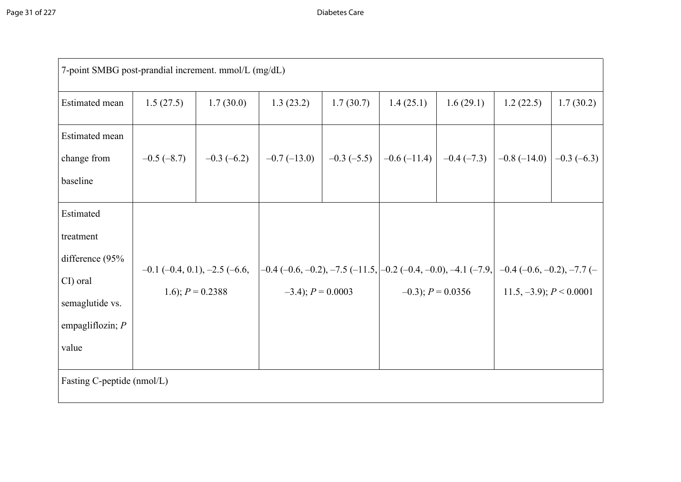| 7-point SMBG post-prandial increment. mmol/L (mg/dL)                                                    |              |                                                              |                                                                                                                            |           |           |                       |                                                                 |              |
|---------------------------------------------------------------------------------------------------------|--------------|--------------------------------------------------------------|----------------------------------------------------------------------------------------------------------------------------|-----------|-----------|-----------------------|-----------------------------------------------------------------|--------------|
| Estimated mean                                                                                          | 1.5(27.5)    | 1.7(30.0)                                                    | 1.3(23.2)                                                                                                                  | 1.7(30.7) | 1.4(25.1) | 1.6(29.1)             | 1.2(22.5)                                                       | 1.7(30.2)    |
| <b>Estimated</b> mean<br>change from<br>baseline                                                        | $-0.5(-8.7)$ | $-0.3(-6.2)$                                                 | $-0.7(-13.0)$ $-0.3(-5.5)$                                                                                                 |           |           |                       | $-0.6$ (-11.4) $\vert$ -0.4 (-7.3) $\vert$ -0.8 (-14.0) $\vert$ | $-0.3(-6.3)$ |
| Estimated<br>treatment<br>difference (95%<br>CI) oral<br>semaglutide vs.<br>empagliflozin; $P$<br>value |              | $-0.1$ $(-0.4, 0.1)$ , $-2.5$ $(-6.6,$<br>1.6); $P = 0.2388$ | $-0.4$ (-0.6, -0.2), -7.5 (-11.5, $]-0.2$ (-0.4, -0.0), -4.1 (-7.9, $]-0.4$ (-0.6, -0.2), -7.7 (-<br>$-3.4$ ; $P = 0.0003$ |           |           | $-0.3$ ; $P = 0.0356$ | $11.5, -3.9$ ; $P < 0.0001$                                     |              |
| Fasting C-peptide (nmol/L)                                                                              |              |                                                              |                                                                                                                            |           |           |                       |                                                                 |              |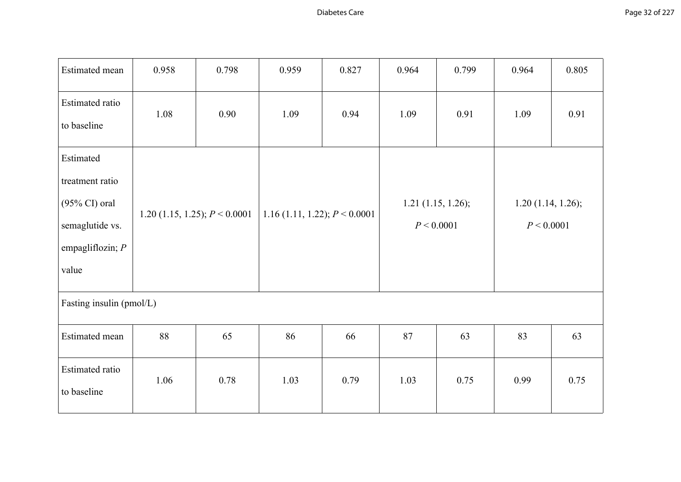| Estimated mean                                                                                             | 0.958                           | 0.798 | 0.959                           | 0.827 | 0.964                              | 0.799 | 0.964                           | 0.805 |
|------------------------------------------------------------------------------------------------------------|---------------------------------|-------|---------------------------------|-------|------------------------------------|-------|---------------------------------|-------|
| Estimated ratio<br>to baseline                                                                             | 1.08                            | 0.90  | 1.09                            | 0.94  | 1.09                               | 0.91  | 1.09                            | 0.91  |
| Estimated<br>treatment ratio<br>$(95\% \text{ CI})$ oral<br>semaglutide vs.<br>empagliflozin; $P$<br>value | 1.20 (1.15, 1.25); $P < 0.0001$ |       | 1.16 (1.11, 1.22); $P < 0.0001$ |       | $1.21$ (1.15, 1.26);<br>P < 0.0001 |       | 1.20(1.14, 1.26);<br>P < 0.0001 |       |
| Fasting insulin (pmol/L)                                                                                   |                                 |       |                                 |       |                                    |       |                                 |       |
| Estimated mean                                                                                             | 88                              | 65    | 86                              | 66    | 87                                 | 63    | 83                              | 63    |
| Estimated ratio<br>to baseline                                                                             | 1.06                            | 0.78  | 1.03                            | 0.79  | 1.03                               | 0.75  | 0.99                            | 0.75  |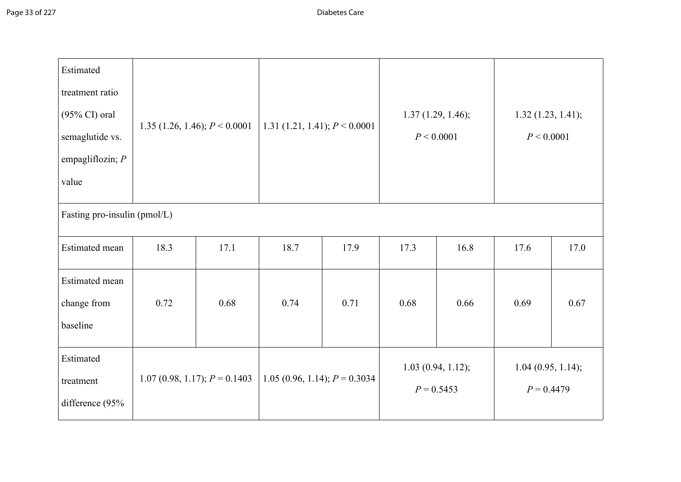| Estimated<br>treatment ratio<br>$(95\% \text{ CI})$ oral<br>semaglutide vs.<br>empagliflozin; $P$<br>value | 1.35 (1.26, 1.46); $P < 0.0001$ |                                 | 1.31 (1.21, 1.41); $P < 0.0001$ |      | 1.37(1.29, 1.46);<br>P < 0.0001   |      | 1.32(1.23, 1.41);<br>P < 0.0001   |      |
|------------------------------------------------------------------------------------------------------------|---------------------------------|---------------------------------|---------------------------------|------|-----------------------------------|------|-----------------------------------|------|
| Fasting pro-insulin (pmol/L)                                                                               |                                 |                                 |                                 |      |                                   |      |                                   |      |
| Estimated mean                                                                                             | 18.3                            | 17.1                            | 18.7                            | 17.9 | 17.3                              | 16.8 | 17.6                              | 17.0 |
| <b>Estimated</b> mean<br>change from<br>baseline                                                           | 0.72                            | 0.68                            | 0.74                            | 0.71 | 0.68                              | 0.66 | 0.69                              | 0.67 |
| Estimated<br>treatment<br>difference (95%                                                                  |                                 | 1.07 (0.98, 1.17); $P = 0.1403$ | 1.05 (0.96, 1.14); $P = 0.3034$ |      | 1.03(0.94, 1.12);<br>$P = 0.5453$ |      | 1.04(0.95, 1.14);<br>$P = 0.4479$ |      |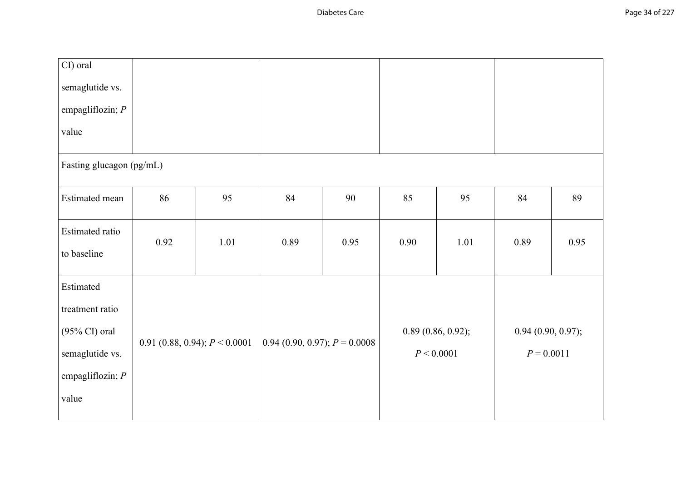| CI) oral                 |                                 |      |                                   |      |            |                   |                   |      |
|--------------------------|---------------------------------|------|-----------------------------------|------|------------|-------------------|-------------------|------|
| semaglutide vs.          |                                 |      |                                   |      |            |                   |                   |      |
| empagliflozin; $P$       |                                 |      |                                   |      |            |                   |                   |      |
| value                    |                                 |      |                                   |      |            |                   |                   |      |
| Fasting glucagon (pg/mL) |                                 |      |                                   |      |            |                   |                   |      |
| Estimated mean           | 86                              | 95   | 84                                | 90   | 85         | 95                | 84                | 89   |
| Estimated ratio          |                                 |      |                                   |      |            |                   |                   |      |
| to baseline              | 0.92                            | 1.01 | 0.89                              | 0.95 | 0.90       | 1.01              | 0.89              | 0.95 |
| Estimated                |                                 |      |                                   |      |            |                   |                   |      |
| treatment ratio          |                                 |      |                                   |      |            |                   |                   |      |
| $(95\% \text{ CI})$ oral |                                 |      |                                   |      |            | 0.89(0.86, 0.92); | 0.94(0.90, 0.97); |      |
| semaglutide vs.          | 0.91 (0.88, 0.94); $P < 0.0001$ |      | $0.94$ (0.90, 0.97); $P = 0.0008$ |      | P < 0.0001 |                   | $P = 0.0011$      |      |
| empagliflozin; $P$       |                                 |      |                                   |      |            |                   |                   |      |
| value                    |                                 |      |                                   |      |            |                   |                   |      |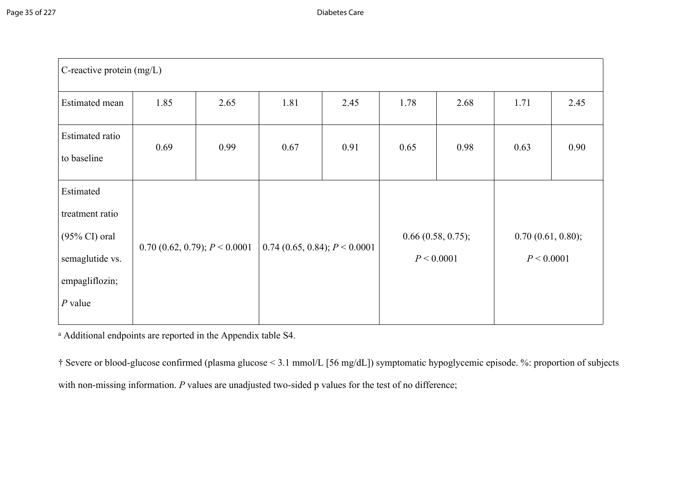| C-reactive protein $(mg/L)$                                                                                        |                                      |      |                                   |      |                                 |      |                                 |      |  |  |
|--------------------------------------------------------------------------------------------------------------------|--------------------------------------|------|-----------------------------------|------|---------------------------------|------|---------------------------------|------|--|--|
| Estimated mean                                                                                                     | 1.85                                 | 2.65 | 1.81                              | 2.45 | 1.78                            | 2.68 | 1.71                            | 2.45 |  |  |
| Estimated ratio<br>to baseline                                                                                     | 0.69                                 | 0.99 | 0.67                              | 0.91 | 0.65                            | 0.98 | 0.63                            | 0.90 |  |  |
| Estimated<br>treatment ratio<br>$(95\% \text{ CI}) \text{ oral}$<br>semaglutide vs.<br>empagliflozin;<br>$P$ value | $0.70$ $(0.62, 0.79)$ ; $P < 0.0001$ |      | $0.74$ (0.65, 0.84); $P < 0.0001$ |      | 0.66(0.58, 0.75);<br>P < 0.0001 |      | 0.70(0.61, 0.80);<br>P < 0.0001 |      |  |  |

<sup>a</sup> Additional endpoints are reported in the Appendix table S4.

† Severe or blood-glucose confirmed (plasma glucose < 3.1 mmol/L [56 mg/dL]) symptomatic hypoglycemic episode. %: proportion of subjects with non-missing information. *P* values are unadjusted two-sided p values for the test of no difference;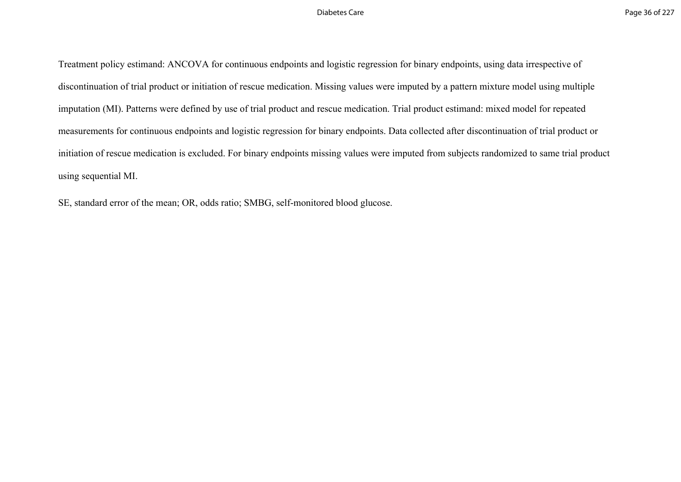Treatment policy estimand: ANCOVA for continuous endpoints and logistic regression for binary endpoints, using data irrespective of discontinuation of trial product or initiation of rescue medication. Missing values were imputed by a pattern mixture model using multiple imputation (MI). Patterns were defined by use of trial product and rescue medication. Trial product estimand: mixed model for repeated measurements for continuous endpoints and logistic regression for binary endpoints. Data collected after discontinuation of trial product or initiation of rescue medication is excluded. For binary endpoints missing values were imputed from subjects randomized to same trial product using sequential MI.

SE, standard error of the mean; OR, odds ratio; SMBG, self-monitored blood glucose.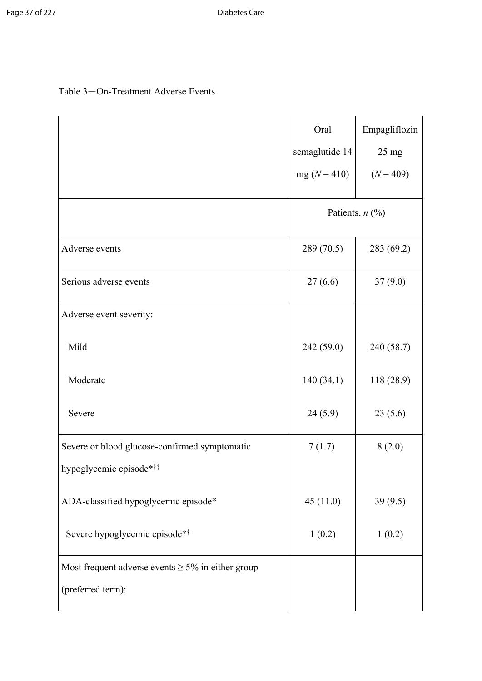## Table 3—On-Treatment Adverse Events

|                                                                             | Oral<br>semaglutide 14<br>$mg (N = 410)$ | Empagliflozin<br>$25 \text{ mg}$<br>$(N = 409)$ |
|-----------------------------------------------------------------------------|------------------------------------------|-------------------------------------------------|
|                                                                             | Patients, $n$ (%)                        |                                                 |
| Adverse events                                                              | 289 (70.5)                               | 283 (69.2)                                      |
| Serious adverse events                                                      | 27(6.6)                                  | 37(9.0)                                         |
| Adverse event severity:                                                     |                                          |                                                 |
| Mild                                                                        | 242 (59.0)                               | 240 (58.7)                                      |
| Moderate                                                                    | 140(34.1)                                | 118 (28.9)                                      |
| Severe                                                                      | 24(5.9)                                  | 23(5.6)                                         |
| Severe or blood glucose-confirmed symptomatic<br>hypoglycemic episode*†*    | 7(1.7)                                   | 8(2.0)                                          |
| ADA-classified hypoglycemic episode*                                        | 45(11.0)                                 | 39(9.5)                                         |
| Severe hypoglycemic episode**                                               | 1(0.2)                                   | 1(0.2)                                          |
| Most frequent adverse events $\geq$ 5% in either group<br>(preferred term): |                                          |                                                 |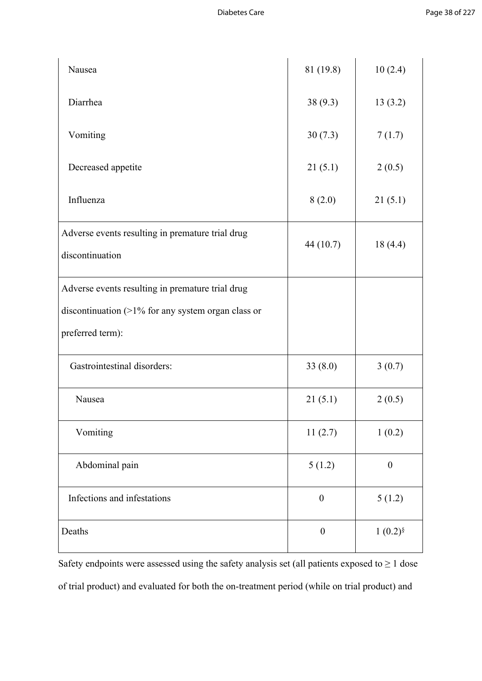| Nausea                                                              | 81 (19.8)        | 10(2.4)          |
|---------------------------------------------------------------------|------------------|------------------|
| Diarrhea                                                            | 38(9.3)          | 13(3.2)          |
| Vomiting                                                            | 30(7.3)          | 7(1.7)           |
| Decreased appetite                                                  | 21(5.1)          | 2(0.5)           |
| Influenza                                                           | 8(2.0)           | 21(5.1)          |
| Adverse events resulting in premature trial drug<br>discontinuation | 44 (10.7)        | 18(4.4)          |
| Adverse events resulting in premature trial drug                    |                  |                  |
| discontinuation $(>1\%$ for any system organ class or               |                  |                  |
| preferred term):                                                    |                  |                  |
| Gastrointestinal disorders:                                         | 33(8.0)          | 3(0.7)           |
| Nausea                                                              | 21(5.1)          | 2(0.5)           |
| Vomiting                                                            | 11(2.7)          | 1(0.2)           |
| Abdominal pain                                                      | 5(1.2)           | $\boldsymbol{0}$ |
| Infections and infestations                                         | $\boldsymbol{0}$ | 5(1.2)           |
| Deaths                                                              | $\boldsymbol{0}$ | $1(0.2)^{8}$     |

Safety endpoints were assessed using the safety analysis set (all patients exposed to  $\geq 1$  dose of trial product) and evaluated for both the on-treatment period (while on trial product) and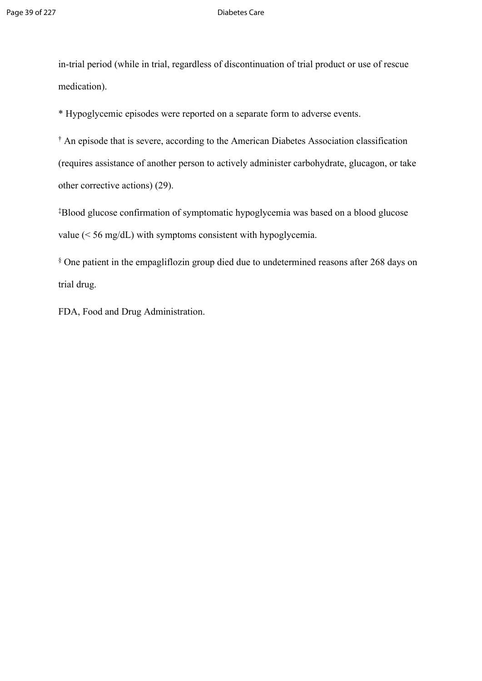in-trial period (while in trial, regardless of discontinuation of trial product or use of rescue medication).

\* Hypoglycemic episodes were reported on a separate form to adverse events.

† An episode that is severe, according to the American Diabetes Association classification (requires assistance of another person to actively administer carbohydrate, glucagon, or take other corrective actions) (29).

‡Blood glucose confirmation of symptomatic hypoglycemia was based on a blood glucose value (< 56 mg/dL) with symptoms consistent with hypoglycemia.

§ One patient in the empagliflozin group died due to undetermined reasons after 268 days on trial drug.

FDA, Food and Drug Administration.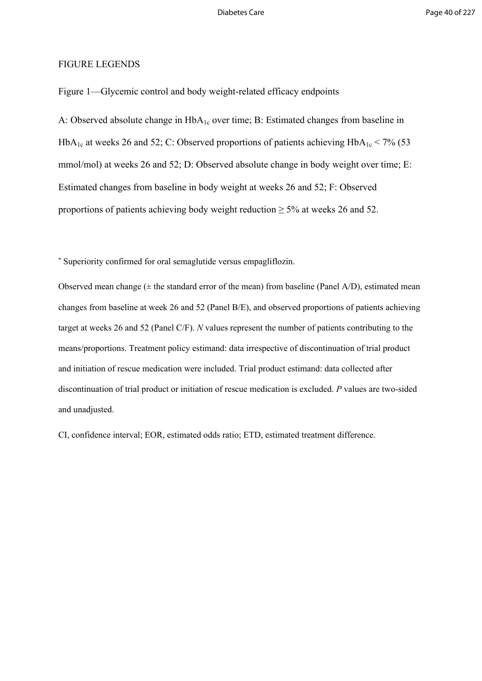### FIGURE LEGENDS

Figure 1—Glycemic control and body weight-related efficacy endpoints

A: Observed absolute change in HbA<sub>1c</sub> over time; B: Estimated changes from baseline in HbA<sub>1c</sub> at weeks 26 and 52; C: Observed proportions of patients achieving  $HbA_{1c} < 7\%$  (53 mmol/mol) at weeks 26 and 52; D: Observed absolute change in body weight over time; E: Estimated changes from baseline in body weight at weeks 26 and 52; F: Observed proportions of patients achieving body weight reduction  $\geq$  5% at weeks 26 and 52.

\* Superiority confirmed for oral semaglutide versus empagliflozin.

Observed mean change  $(\pm$  the standard error of the mean) from baseline (Panel A/D), estimated mean changes from baseline at week 26 and 52 (Panel B/E), and observed proportions of patients achieving target at weeks 26 and 52 (Panel C/F). *N* values represent the number of patients contributing to the means/proportions. Treatment policy estimand: data irrespective of discontinuation of trial product and initiation of rescue medication were included. Trial product estimand: data collected after discontinuation of trial product or initiation of rescue medication is excluded. *P* values are two-sided and unadjusted.

CI, confidence interval; EOR, estimated odds ratio; ETD, estimated treatment difference.